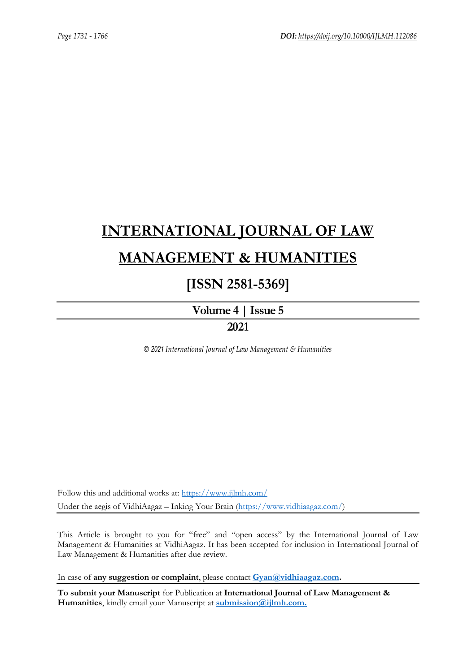# **[INTERNATIONAL JOURNAL OF LAW](https://www.ijlmh.com/)  [MANAGEMENT & HUMANITIES](https://www.ijlmh.com/)**

# **[ISSN 2581-5369]**

**[Volume 4 |](https://www.ijlmh.com/publications/volume-iv-issue-v/) Issue 5 2021**

*© 2021 International Journal of Law Management & Humanities*

Follow this and additional works at:<https://www.ijlmh.com/> Under the aegis of VidhiAagaz – Inking Your Brain [\(https://www.vidhiaagaz.com/\)](https://www.vidhiaagaz.com/)

This Article is brought to you for "free" and "open access" by the International Journal of Law Management & Humanities at VidhiAagaz. It has been accepted for inclusion in International Journal of Law Management & Humanities after due review.

In case of **any suggestion or complaint**, please contact **[Gyan@vidhiaagaz.com.](mailto:Gyan@vidhiaagaz.com)** 

**To submit your Manuscript** for Publication at **International Journal of Law Management & Humanities**, kindly email your Manuscript at **[submission@ijlmh.com.](mailto:submission@ijlmh.com)**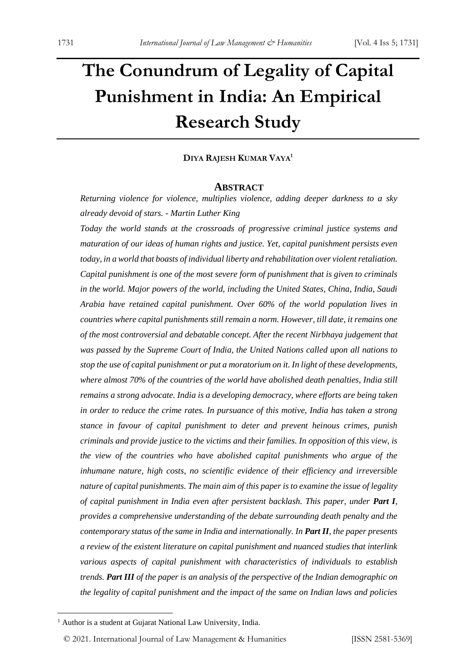# **The Conundrum of Legality of Capital Punishment in India: An Empirical Research Study**

#### **DIYA RAJESH KUMAR VAYA<sup>1</sup>**

#### **ABSTRACT**

*Returning violence for violence, multiplies violence, adding deeper darkness to a sky already devoid of stars. - Martin Luther King*

*Today the world stands at the crossroads of progressive criminal justice systems and maturation of our ideas of human rights and justice. Yet, capital punishment persists even today, in a world that boasts of individual liberty and rehabilitation over violent retaliation. Capital punishment is one of the most severe form of punishment that is given to criminals in the world. Major powers of the world, including the United States, China, India, Saudi Arabia have retained capital punishment. Over 60% of the world population lives in countries where capital punishments still remain a norm. However, till date, it remains one of the most controversial and debatable concept. After the recent Nirbhaya judgement that was passed by the Supreme Court of India, the United Nations called upon all nations to stop the use of capital punishment or put a moratorium on it. In light of these developments, where almost 70% of the countries of the world have abolished death penalties, India still remains a strong advocate. India is a developing democracy, where efforts are being taken in order to reduce the crime rates. In pursuance of this motive, India has taken a strong stance in favour of capital punishment to deter and prevent heinous crimes, punish criminals and provide justice to the victims and their families. In opposition of this view, is the view of the countries who have abolished capital punishments who argue of the inhumane nature, high costs, no scientific evidence of their efficiency and irreversible nature of capital punishments. The main aim of this paper is to examine the issue of legality of capital punishment in India even after persistent backlash. This paper, under Part I, provides a comprehensive understanding of the debate surrounding death penalty and the contemporary status of the same in India and internationally. In Part II, the paper presents a review of the existent literature on capital punishment and nuanced studies that interlink various aspects of capital punishment with characteristics of individuals to establish trends. Part III of the paper is an analysis of the perspective of the Indian demographic on the legality of capital punishment and the impact of the same on Indian laws and policies* 

<sup>&</sup>lt;sup>1</sup> Author is a student at Gujarat National Law University, India.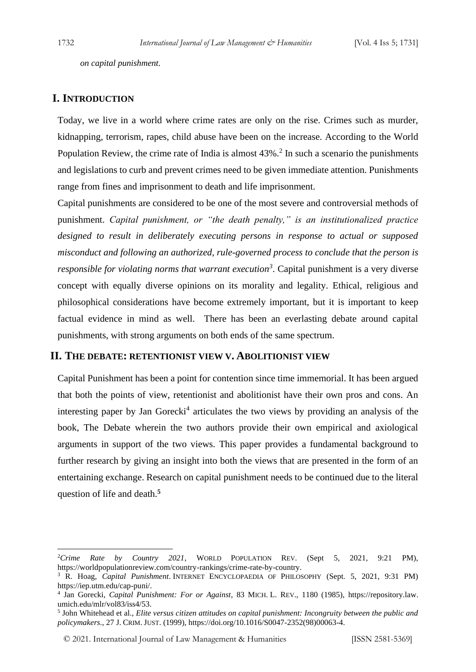*on capital punishment.*

#### **I. INTRODUCTION**

Today, we live in a world where crime rates are only on the rise. Crimes such as murder, kidnapping, terrorism, rapes, child abuse have been on the increase. According to the World Population Review, the crime rate of India is almost  $43\%$ .<sup>2</sup> In such a scenario the punishments and legislations to curb and prevent crimes need to be given immediate attention. Punishments range from fines and imprisonment to death and life imprisonment.

Capital punishments are considered to be one of the most severe and controversial methods of punishment. *Capital punishment, or "the death penalty," is an institutionalized practice designed to result in deliberately executing persons in response to actual or supposed misconduct and following an authorized, rule-governed process to conclude that the person is responsible for violating norms that warrant execution<sup>3</sup>* . Capital punishment is a very diverse concept with equally diverse opinions on its morality and legality. Ethical, religious and philosophical considerations have become extremely important, but it is important to keep factual evidence in mind as well. There has been an everlasting debate around capital punishments, with strong arguments on both ends of the same spectrum.

#### **II. THE DEBATE: RETENTIONIST VIEW V. ABOLITIONIST VIEW**

Capital Punishment has been a point for contention since time immemorial. It has been argued that both the points of view, retentionist and abolitionist have their own pros and cons. An interesting paper by Jan Gorecki<sup>4</sup> articulates the two views by providing an analysis of the book, The Debate wherein the two authors provide their own empirical and axiological arguments in support of the two views. This paper provides a fundamental background to further research by giving an insight into both the views that are presented in the form of an entertaining exchange. Research on capital punishment needs to be continued due to the literal question of life and death.**<sup>5</sup>**

<sup>2</sup>*Crime Rate by Country 2021*, WORLD POPULATION REV. (Sept 5, 2021, 9:21 PM), https://worldpopulationreview.com/country-rankings/crime-rate-by-country.

<sup>3</sup> R. Hoag, *Capital Punishment*. INTERNET ENCYCLOPAEDIA OF PHILOSOPHY (Sept. 5, 2021, 9:31 PM) https://iep.utm.edu/cap-puni/.

<sup>4</sup> Jan Gorecki, *Capital Punishment: For or Against*, 83 MICH. L. REV., 1180 (1985), https://repository.law. umich.edu/mlr/vol83/iss4/53.

<sup>5</sup> John Whitehead et al., *Elite versus citizen attitudes on capital punishment: Incongruity between the public and policymakers*., 27 J. CRIM. JUST. (1999), https://doi.org/10.1016/S0047-2352(98)00063-4.

<sup>© 2021.</sup> International Journal of [Law Management & Humanities](https://www.ijlmh.com/) [ISSN 2581-5369]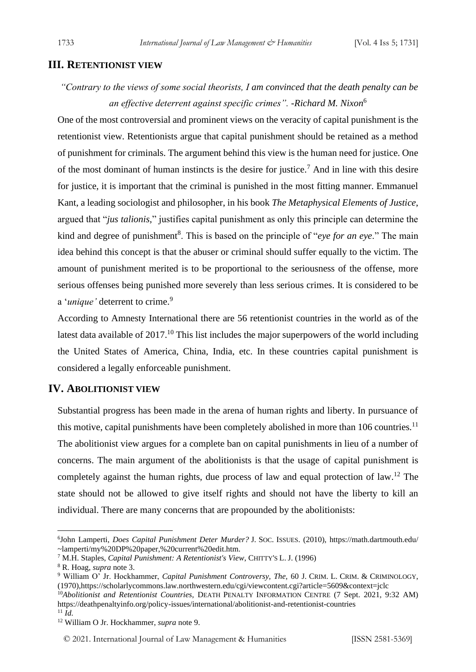#### **III. RETENTIONIST VIEW**

*"Contrary to the views of some social theorists, I am convinced that the death penalty can be an effective deterrent against specific crimes". -Richard M. Nixon*<sup>6</sup>

One of the most controversial and prominent views on the veracity of capital punishment is the retentionist view. Retentionists argue that capital punishment should be retained as a method of punishment for criminals. The argument behind this view is the human need for justice. One of the most dominant of human instincts is the desire for justice.<sup>7</sup> And in line with this desire for justice, it is important that the criminal is punished in the most fitting manner. Emmanuel Kant, a leading sociologist and philosopher, in his book *The Metaphysical Elements of Justice*, argued that "*jus talionis,*" justifies capital punishment as only this principle can determine the kind and degree of punishment<sup>8</sup>. This is based on the principle of "*eye for an eye*." The main idea behind this concept is that the abuser or criminal should suffer equally to the victim. The amount of punishment merited is to be proportional to the seriousness of the offense, more serious offenses being punished more severely than less serious crimes. It is considered to be a '*unique*' deterrent to crime.<sup>9</sup>

According to Amnesty International there are 56 retentionist countries in the world as of the latest data available of  $2017<sup>10</sup>$ . This list includes the major superpowers of the world including the United States of America, China, India, etc. In these countries capital punishment is considered a legally enforceable punishment.

# **IV. ABOLITIONIST VIEW**

Substantial progress has been made in the arena of human rights and liberty. In pursuance of this motive, capital punishments have been completely abolished in more than  $106$  countries.<sup>11</sup> The abolitionist view argues for a complete ban on capital punishments in lieu of a number of concerns. The main argument of the abolitionists is that the usage of capital punishment is completely against the human rights, due process of law and equal protection of law.<sup>12</sup> The state should not be allowed to give itself rights and should not have the liberty to kill an individual. There are many concerns that are propounded by the abolitionists:

<sup>6</sup> John Lamperti, *Does Capital Punishment Deter Murder?* J. SOC. ISSUES. (2010), https://math.dartmouth.edu/ ~lamperti/my%20DP%20paper,%20current%20edit.htm.

<sup>7</sup> M.H. Staples, *Capital Punishment: A Retentionist's View*, CHITTY'S L. J. (1996)

<sup>8</sup> R. Hoag, *supra* note 3.

<sup>9</sup> William O' Jr. Hockhammer, *Capital Punishment Controversy, The,* 60 J. CRIM. L. CRIM. & CRIMINOLOGY, (1970),https://scholarlycommons.law.northwestern.edu/cgi/viewcontent.cgi?article=5609&context=jclc

<sup>&</sup>lt;sup>10</sup>Abolitionist and Retentionist Countries, DEATH PENALTY INFORMATION CENTRE (7 Sept. 2021, 9:32 AM) https://deathpenaltyinfo.org/policy-issues/international/abolitionist-and-retentionist-countries

 $11 \overline{I}$ 

<sup>12</sup> William O Jr. Hockhammer, *supra* note 9.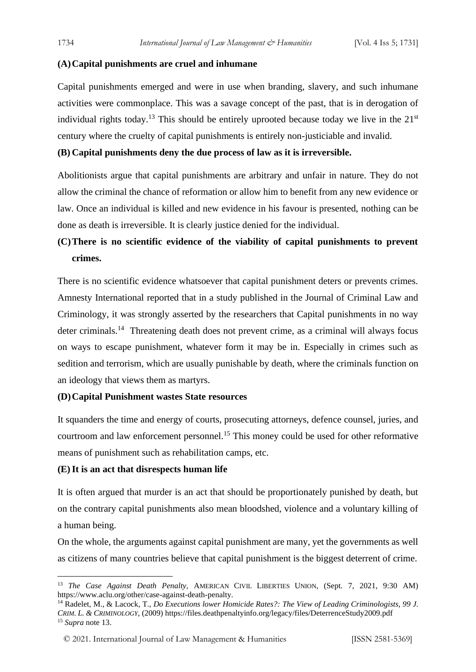#### **(A)Capital punishments are cruel and inhumane**

Capital punishments emerged and were in use when branding, slavery, and such inhumane activities were commonplace. This was a savage concept of the past, that is in derogation of individual rights today.<sup>13</sup> This should be entirely uprooted because today we live in the  $21<sup>st</sup>$ century where the cruelty of capital punishments is entirely non-justiciable and invalid.

#### **(B) Capital punishments deny the due process of law as it is irreversible.**

Abolitionists argue that capital punishments are arbitrary and unfair in nature. They do not allow the criminal the chance of reformation or allow him to benefit from any new evidence or law. Once an individual is killed and new evidence in his favour is presented, nothing can be done as death is irreversible. It is clearly justice denied for the individual.

# **(C)There is no scientific evidence of the viability of capital punishments to prevent crimes.**

There is no scientific evidence whatsoever that capital punishment deters or prevents crimes. Amnesty International reported that in a study published in the Journal of Criminal Law and Criminology, it was strongly asserted by the researchers that Capital punishments in no way deter criminals.<sup>14</sup> Threatening death does not prevent crime, as a criminal will always focus on ways to escape punishment, whatever form it may be in. Especially in crimes such as sedition and terrorism, which are usually punishable by death, where the criminals function on an ideology that views them as martyrs.

#### **(D)Capital Punishment wastes State resources**

It squanders the time and energy of courts, prosecuting attorneys, defence counsel, juries, and courtroom and law enforcement personnel.<sup>15</sup> This money could be used for other reformative means of punishment such as rehabilitation camps, etc.

#### **(E)It is an act that disrespects human life**

It is often argued that murder is an act that should be proportionately punished by death, but on the contrary capital punishments also mean bloodshed, violence and a voluntary killing of a human being.

On the whole, the arguments against capital punishment are many, yet the governments as well as citizens of many countries believe that capital punishment is the biggest deterrent of crime.

<sup>&</sup>lt;sup>13</sup> *The Case Against Death Penalty*, AMERICAN CIVIL LIBERTIES UNION, (Sept. 7, 2021, 9:30 AM) https://www.aclu.org/other/case-against-death-penalty.

<sup>14</sup> Radelet, M., & Lacock, T., *Do Executions lower Homicide Rates?: The View of Leading Criminologists, 99 J. CRIM. L. & CRIMINOLOGY*, (2009) https://files.deathpenaltyinfo.org/legacy/files/DeterrenceStudy2009.pdf <sup>15</sup> *Supra* note 13.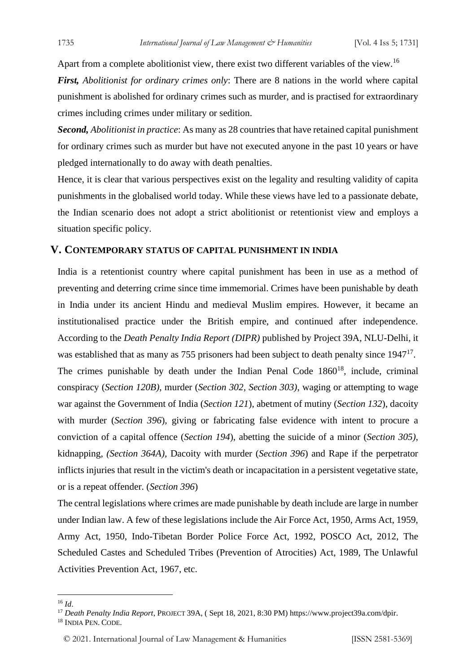Apart from a complete abolitionist view, there exist two different variables of the view.<sup>16</sup> *First, Abolitionist for ordinary crimes only*: There are 8 nations in the world where capital punishment is abolished for ordinary crimes such as murder, and is practised for extraordinary crimes including crimes under military or sedition.

*Second, Abolitionist in practice*: As many as 28 countries that have retained capital punishment for ordinary crimes such as murder but have not executed anyone in the past 10 years or have pledged internationally to do away with death penalties.

Hence, it is clear that various perspectives exist on the legality and resulting validity of capita punishments in the globalised world today. While these views have led to a passionate debate, the Indian scenario does not adopt a strict abolitionist or retentionist view and employs a situation specific policy.

#### **V. CONTEMPORARY STATUS OF CAPITAL PUNISHMENT IN INDIA**

India is a retentionist country where capital punishment has been in use as a method of preventing and deterring crime since time immemorial. Crimes have been punishable by death in India under its ancient Hindu and medieval Muslim empires. However, it became an institutionalised practice under the British empire, and continued after independence. According to the *Death Penalty India Report (DIPR)* published by Project 39A, NLU-Delhi, it was established that as many as 755 prisoners had been subject to death penalty since 1947<sup>17</sup>. The crimes punishable by death under the Indian Penal Code  $1860^{18}$ , include, criminal conspiracy (*Section 120B)*, murder (*Section 302, Section 303)*, waging or attempting to wage war against the Government of India (*Section 121*), abetment of mutiny (*Section 132*), dacoity with murder (*Section 396*), giving or fabricating false evidence with intent to procure a conviction of a capital offence (*Section 194*), abetting the suicide of a minor (*Section 305)*, kidnapping, *(Section 364A),* Dacoity with murder (*Section 396*) and Rape if the perpetrator inflicts injuries that result in the victim's death or incapacitation in a persistent vegetative state, or is a repeat offender. (*Section 396*)

The central legislations where crimes are made punishable by death include are large in number under Indian law. A few of these legislations include the Air Force Act, 1950, Arms Act, 1959, Army Act, 1950, Indo-Tibetan Border Police Force Act, 1992, POSCO Act, 2012, The Scheduled Castes and Scheduled Tribes (Prevention of Atrocities) Act, 1989, The Unlawful Activities Prevention Act, 1967, etc.

<sup>16</sup> *Id*.

<sup>17</sup> *Death Penalty India Report*, PROJECT 39A, ( Sept 18, 2021, 8:30 PM) https://www.project39a.com/dpir.

<sup>18</sup> INDIA PEN. CODE.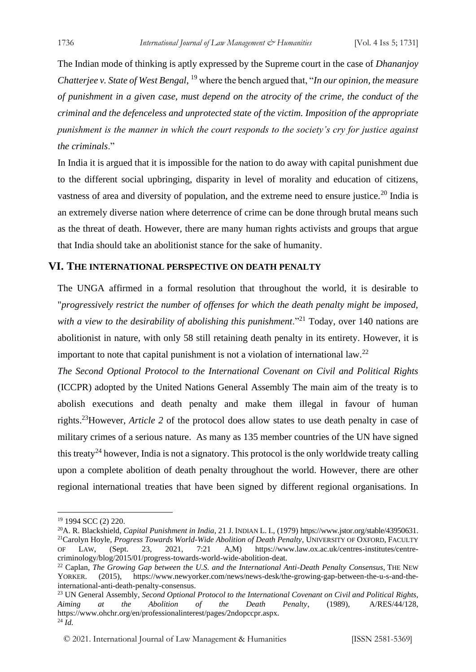The Indian mode of thinking is aptly expressed by the Supreme court in the case of *Dhananjoy Chatterjee v. State of West Bengal*, <sup>19</sup> where the bench argued that, "*In our opinion, the measure of punishment in a given case, must depend on the atrocity of the crime, the conduct of the criminal and the defenceless and unprotected state of the victim. Imposition of the appropriate punishment is the manner in which the court responds to the society's cry for justice against the criminals*."

In India it is argued that it is impossible for the nation to do away with capital punishment due to the different social upbringing, disparity in level of morality and education of citizens, vastness of area and diversity of population, and the extreme need to ensure justice.<sup>20</sup> India is an extremely diverse nation where deterrence of crime can be done through brutal means such as the threat of death. However, there are many human rights activists and groups that argue that India should take an abolitionist stance for the sake of humanity.

#### **VI. THE INTERNATIONAL PERSPECTIVE ON DEATH PENALTY**

The UNGA affirmed in a formal resolution that throughout the world, it is desirable to "*progressively restrict the number of offenses for which the death penalty might be imposed,*  with a view to the desirability of abolishing this punishment."<sup>21</sup> Today, over 140 nations are abolitionist in nature, with only 58 still retaining death penalty in its entirety. However, it is important to note that capital punishment is not a violation of international law.<sup>22</sup>

*The Second Optional Protocol to the International Covenant on Civil and Political Rights*  (ICCPR) adopted by the United Nations General Assembly The main aim of the treaty is to abolish executions and death penalty and make them illegal in favour of human rights.<sup>23</sup>However, *Article 2* of the protocol does allow states to use death penalty in case of military crimes of a serious nature. As many as 135 member countries of the UN have signed this treaty<sup>24</sup> however, India is not a signatory. This protocol is the only worldwide treaty calling upon a complete abolition of death penalty throughout the world. However, there are other regional international treaties that have been signed by different regional organisations. In

<sup>&</sup>lt;sup>19</sup> 1994 SCC (2) 220.

<sup>20</sup>A. R. Blackshield, *Capital Punishment in India*, 21 J. INDIAN L. I., (1979) https://www.jstor.org/stable/43950631. <sup>21</sup>Carolyn Hoyle, *Progress Towards World-Wide Abolition of Death Penalty*, UNIVERSITY OF OXFORD, FACULTY OF LAW, (Sept. 23, 2021, 7:21 A,M) https://www.law.ox.ac.uk/centres-institutes/centrecriminology/blog/2015/01/progress-towards-world-wide-abolition-deat.

<sup>&</sup>lt;sup>22</sup> Caplan, *The Growing Gap between the U.S. and the International Anti-Death Penalty Consensus*, THE NEW YORKER. (2015), https://www.newyorker.com/news/news-desk/the-growing-gap-between-the-u-s-and-theinternational-anti-death-penalty-consensus.

<sup>23</sup> UN General Assembly, *Second Optional Protocol to the International Covenant on Civil and Political Rights, Aiming at the Abolition of the Death Penalty*, (1989), A/RES/44/128, https://www.ohchr.org/en/professionalinterest/pages/2ndopccpr.aspx.  $^{24}$   $\tilde{I}$ *d*.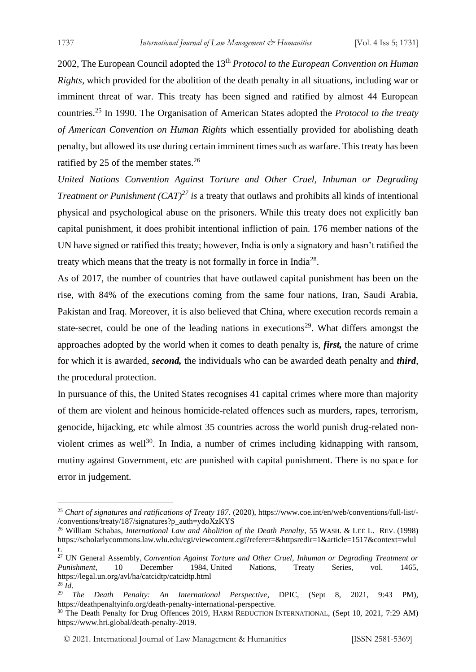2002, The European Council adopted the 13th *Protocol to the European Convention on Human Rights*, which provided for the abolition of the death penalty in all situations, including war or imminent threat of war. This treaty has been signed and ratified by almost 44 European countries.<sup>25</sup> In 1990. The Organisation of American States adopted the *Protocol to the treaty of American Convention on Human Rights* which essentially provided for abolishing death penalty, but allowed its use during certain imminent times such as warfare. This treaty has been ratified by 25 of the member states. $26$ 

*United Nations Convention Against Torture and Other Cruel, Inhuman or Degrading Treatment or Punishment (CAT)<sup>27</sup> is a treaty that outlaws and prohibits all kinds of intentional* physical and psychological abuse on the prisoners. While this treaty does not explicitly ban capital punishment, it does prohibit intentional infliction of pain. 176 member nations of the UN have signed or ratified this treaty; however, India is only a signatory and hasn't ratified the treaty which means that the treaty is not formally in force in India<sup>28</sup>.

As of 2017, the number of countries that have outlawed capital punishment has been on the rise, with 84% of the executions coming from the same four nations, Iran, Saudi Arabia, Pakistan and Iraq. Moreover, it is also believed that China, where execution records remain a state-secret, could be one of the leading nations in executions<sup>29</sup>. What differs amongst the approaches adopted by the world when it comes to death penalty is, *first,* the nature of crime for which it is awarded, *second,* the individuals who can be awarded death penalty and *third*, the procedural protection.

In pursuance of this, the United States recognises 41 capital crimes where more than majority of them are violent and heinous homicide-related offences such as murders, rapes, terrorism, genocide, hijacking, etc while almost 35 countries across the world punish drug-related nonviolent crimes as well<sup>30</sup>. In India, a number of crimes including kidnapping with ransom, mutiny against Government, etc are punished with capital punishment. There is no space for error in judgement.

<sup>25</sup> *Chart of signatures and ratifications of Treaty 187*. (2020), https://www.coe.int/en/web/conventions/full-list/- /conventions/treaty/187/signatures?p\_auth=ydoXzKYS

<sup>26</sup> William Schabas, *International Law and Abolition of the Death Penalty*, 55 WASH. & LEE L. REV. (1998) https://scholarlycommons.law.wlu.edu/cgi/viewcontent.cgi?referer=&httpsredir=1&article=1517&context=wlul r.

<sup>27</sup> UN General Assembly, *Convention Against Torture and Other Cruel, Inhuman or Degrading Treatment or Punishment*, 10 December 1984, United Nations, Treaty Series, vol. 1465, https://legal.un.org/avl/ha/catcidtp/catcidtp.html <sup>28</sup> *Id*.

<sup>29</sup> *The Death Penalty: An International Perspective*, DPIC, (Sept 8, 2021, 9:43 PM), https://deathpenaltyinfo.org/death-penalty-international-perspective.

<sup>&</sup>lt;sup>30</sup> The Death Penalty for Drug Offences 2019, HARM REDUCTION INTERNATIONAL, (Sept 10, 2021, 7:29 AM) https://www.hri.global/death-penalty-2019.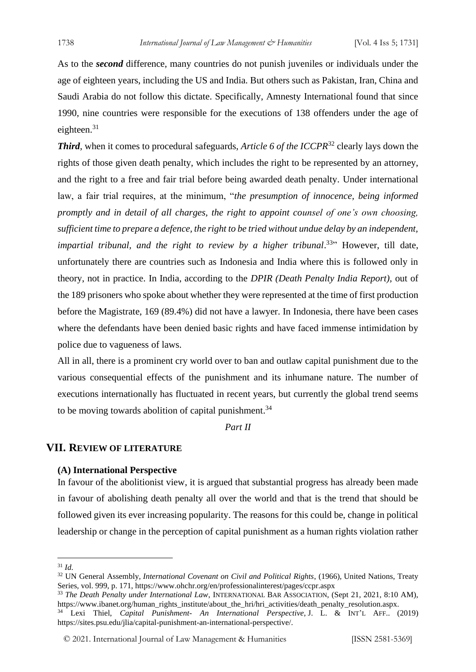As to the *second* difference, many countries do not punish juveniles or individuals under the age of eighteen years, including the US and India. But others such as Pakistan, Iran, China and Saudi Arabia do not follow this dictate. Specifically, Amnesty International found that since 1990, nine countries were responsible for the executions of 138 offenders under the age of eighteen.<sup>31</sup>

*Third*, when it comes to procedural safeguards, *Article 6 of the ICCPR*<sup>32</sup> clearly lays down the rights of those given death penalty, which includes the right to be represented by an attorney, and the right to a free and fair trial before being awarded death penalty. Under international law, a fair trial requires, at the minimum, "*the presumption of innocence, being informed promptly and in detail of all charges, the right to appoint counsel of one's own choosing, sufficient time to prepare a defence, the right to be tried without undue delay by an independent,*  impartial tribunal, and the right to review by a higher tribunal.<sup>33</sup><sup>33</sup> However, till date, unfortunately there are countries such as Indonesia and India where this is followed only in theory, not in practice. In India, according to the *DPIR (Death Penalty India Report),* out of the 189 prisoners who spoke about whether they were represented at the time of first production before the Magistrate, 169 (89.4%) did not have a lawyer. In Indonesia, there have been cases where the defendants have been denied basic rights and have faced immense intimidation by police due to vagueness of laws.

All in all, there is a prominent cry world over to ban and outlaw capital punishment due to the various consequential effects of the punishment and its inhumane nature. The number of executions internationally has fluctuated in recent years, but currently the global trend seems to be moving towards abolition of capital punishment.<sup>34</sup>

*Part II*

#### **VII. REVIEW OF LITERATURE**

#### **(A) International Perspective**

In favour of the abolitionist view, it is argued that substantial progress has already been made in favour of abolishing death penalty all over the world and that is the trend that should be followed given its ever increasing popularity. The reasons for this could be, change in political leadership or change in the perception of capital punishment as a human rights violation rather

<sup>31</sup> *Id.* 

<sup>32</sup> UN General Assembly, *International Covenant on Civil and Political Rights*, (1966), United Nations, Treaty Series, vol. 999, p. 171, https://www.ohchr.org/en/professionalinterest/pages/ccpr.aspx

<sup>33</sup> *The Death Penalty under International Law*, INTERNATIONAL BAR ASSOCIATION, (Sept 21, 2021, 8:10 AM), https://www.ibanet.org/human\_rights\_institute/about\_the\_hri/hri\_activities/death\_penalty\_resolution.aspx.

<sup>34</sup> Lexi Thiel, *Capital Punishment- An International Perspective*, J. L. & INT'L AFF.. (2019) https://sites.psu.edu/jlia/capital-punishment-an-international-perspective/.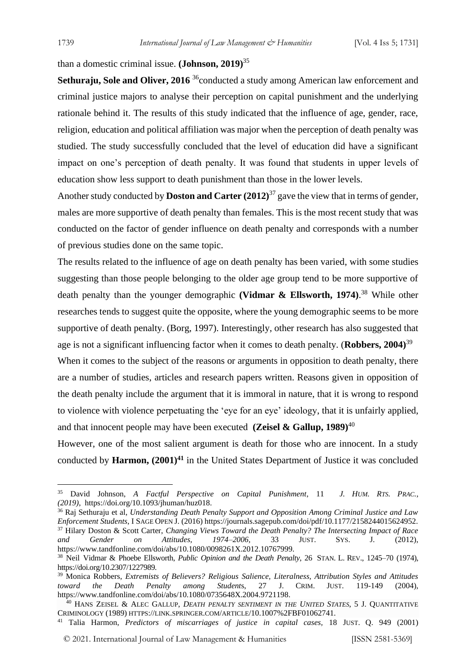than a domestic criminal issue. **(Johnson, 2019)**<sup>35</sup>

**Sethuraju, Sole and Oliver, 2016** <sup>36</sup>conducted a study among American law enforcement and criminal justice majors to analyse their perception on capital punishment and the underlying rationale behind it. The results of this study indicated that the influence of age, gender, race, religion, education and political affiliation was major when the perception of death penalty was studied. The study successfully concluded that the level of education did have a significant impact on one's perception of death penalty. It was found that students in upper levels of education show less support to death punishment than those in the lower levels.

Another study conducted by **Doston and Carter (2012)** <sup>37</sup> gave the view that in terms of gender, males are more supportive of death penalty than females. This is the most recent study that was conducted on the factor of gender influence on death penalty and corresponds with a number of previous studies done on the same topic.

The results related to the influence of age on death penalty has been varied, with some studies suggesting than those people belonging to the older age group tend to be more supportive of death penalty than the younger demographic **(Vidmar & Ellsworth, 1974)**. <sup>38</sup> While other researches tends to suggest quite the opposite, where the young demographic seems to be more supportive of death penalty. (Borg, 1997). Interestingly, other research has also suggested that age is not a significant influencing factor when it comes to death penalty. (**Robbers, 2004)**<sup>39</sup>

When it comes to the subject of the reasons or arguments in opposition to death penalty, there are a number of studies, articles and research papers written. Reasons given in opposition of the death penalty include the argument that it is immoral in nature, that it is wrong to respond to violence with violence perpetuating the 'eye for an eye' ideology, that it is unfairly applied, and that innocent people may have been executed **(Zeisel & Gallup, 1989)**<sup>40</sup>

However, one of the most salient argument is death for those who are innocent. In a study conducted by **Harmon, (2001)<sup>41</sup>** in the United States Department of Justice it was concluded

<sup>35</sup> David Johnson, *A Factful Perspective on Capital Punishment*, 11 *J. HUM. RTS. PRAC., (2019)*, https://doi.org/10.1093/jhuman/huz018.

<sup>36</sup> Raj Sethuraju et al, *Understanding Death Penalty Support and Opposition Among Criminal Justice and Law Enforcement Students*, I SAGE OPEN J. (2016) https://journals.sagepub.com/doi/pdf/10.1177/2158244015624952. <sup>37</sup> Hilary Doston & Scott Carter, *Changing Views Toward the Death Penalty? The Intersecting Impact of Race and Gender on Attitudes, 1974–2006,* 33 JUST. SYS. J. (2012), https://www.tandfonline.com/doi/abs/10.1080/0098261X.2012.10767999.

<sup>38</sup> Neil Vidmar & Phoebe Ellsworth, *Public Opinion and the Death Penalty*, 26 STAN. L. REV., 1245–70 (1974), https://doi.org/10.2307/1227989.

<sup>&</sup>lt;sup>39</sup> Monica Robbers, *Extremists of Believers? Religious Salience, Literalness, Attribution Styles and Attitudes <i>toward* the Death Penalty among Students, 27 J. CRIM. JUST. 119-149 (2004). *toward the Death Penalty among Student*s, 27 J. CRIM. JUST. 119-149 (2004), https://www.tandfonline.com/doi/abs/10.1080/0735648X.2004.9721198.

<sup>40</sup> HANS ZEISEL & ALEC GALLUP, *DEATH PENALTY SENTIMENT IN THE UNITED STATES*, 5 J. QUANTITATIVE CRIMINOLOGY (1989) HTTPS://LINK.SPRINGER.COM/ARTICLE/10.1007%2FBF01062741.

<sup>41</sup> Talia Harmon, *Predictors of miscarriages of justice in capital cases,* 18 JUST. Q. 949 (2001)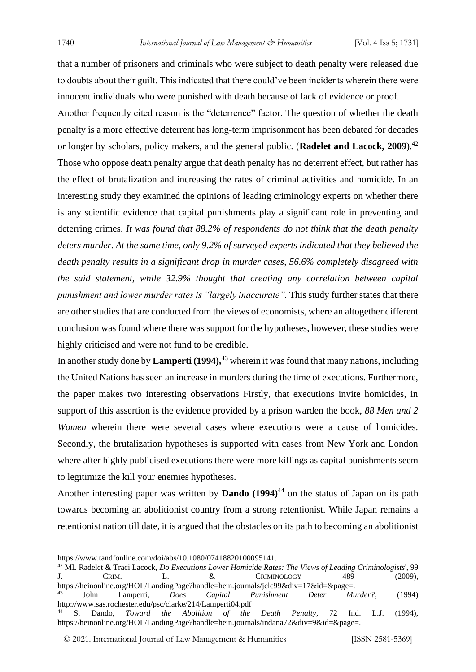that a number of prisoners and criminals who were subject to death penalty were released due to doubts about their guilt. This indicated that there could've been incidents wherein there were innocent individuals who were punished with death because of lack of evidence or proof.

Another frequently cited reason is the "deterrence" factor. The question of whether the death penalty is a more effective deterrent has long-term imprisonment has been debated for decades or longer by scholars, policy makers, and the general public. (**Radelet and Lacock, 2009**).<sup>42</sup> Those who oppose death penalty argue that death penalty has no deterrent effect, but rather has the effect of brutalization and increasing the rates of criminal activities and homicide. In an interesting study they examined the opinions of leading criminology experts on whether there is any scientific evidence that capital punishments play a significant role in preventing and deterring crimes. *It was found that 88.2% of respondents do not think that the death penalty deters murder. At the same time, only 9.2% of surveyed experts indicated that they believed the death penalty results in a significant drop in murder cases, 56.6% completely disagreed with the said statement, while 32.9% thought that creating any correlation between capital punishment and lower murder rates is "largely inaccurate".* This study further states that there are other studies that are conducted from the views of economists, where an altogether different conclusion was found where there was support for the hypotheses, however, these studies were highly criticised and were not fund to be credible.

In another study done by **Lamperti (1994),**<sup>43</sup> wherein it was found that many nations, including the United Nations has seen an increase in murders during the time of executions. Furthermore, the paper makes two interesting observations Firstly, that executions invite homicides, in support of this assertion is the evidence provided by a prison warden the book, *88 Men and 2 Women* wherein there were several cases where executions were a cause of homicides. Secondly, the brutalization hypotheses is supported with cases from New York and London where after highly publicised executions there were more killings as capital punishments seem to legitimize the kill your enemies hypotheses.

Another interesting paper was written by **Dando** (1994)<sup>44</sup> on the status of Japan on its path towards becoming an abolitionist country from a strong retentionist. While Japan remains a retentionist nation till date, it is argued that the obstacles on its path to becoming an abolitionist

<sup>42</sup> ML Radelet & Traci Lacock, *Do Executions Lower Homicide Rates: The Views of Leading Criminologists*', 99 J. CRIM. L. & CRIMINOLOGY 489 (2009), https://heinonline.org/HOL/LandingPage?handle=hein.journals/jclc99&div=17&id=&page=.

https://www.tandfonline.com/doi/abs/10.1080/07418820100095141.

<sup>43</sup> John Lamperti, *Does Capital Punishment Deter Murder?,* (1994) http://www.sas.rochester.edu/psc/clarke/214/Lamperti04.pdf<br><sup>44</sup> S. Dando. *Toward the Abolition of the* 

Toward the Abolition of the Death Penalty, 72 Ind. L.J. (1994), https://heinonline.org/HOL/LandingPage?handle=hein.journals/indana72&div=9&id=&page=.

<sup>© 2021.</sup> International Journal of [Law Management & Humanities](https://www.ijlmh.com/) [ISSN 2581-5369]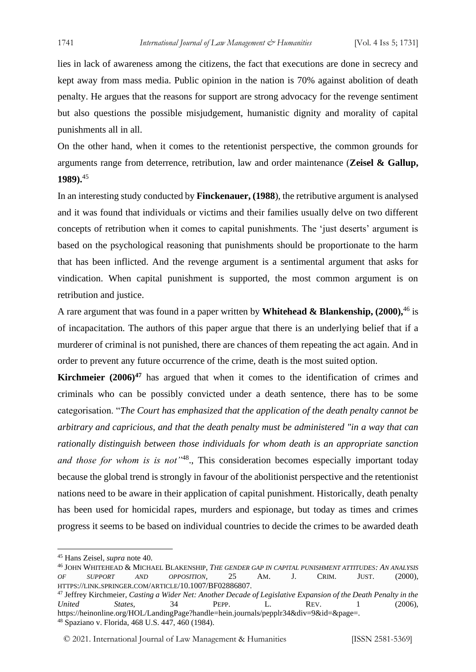lies in lack of awareness among the citizens, the fact that executions are done in secrecy and kept away from mass media. Public opinion in the nation is 70% against abolition of death penalty. He argues that the reasons for support are strong advocacy for the revenge sentiment but also questions the possible misjudgement, humanistic dignity and morality of capital punishments all in all.

On the other hand, when it comes to the retentionist perspective, the common grounds for arguments range from deterrence, retribution, law and order maintenance (**Zeisel & Gallup, 1989).**<sup>45</sup>

In an interesting study conducted by **Finckenauer, (1988**), the retributive argument is analysed and it was found that individuals or victims and their families usually delve on two different concepts of retribution when it comes to capital punishments. The 'just deserts' argument is based on the psychological reasoning that punishments should be proportionate to the harm that has been inflicted. And the revenge argument is a sentimental argument that asks for vindication. When capital punishment is supported, the most common argument is on retribution and justice.

A rare argument that was found in a paper written by **Whitehead & Blankenship, (2000),**<sup>46</sup> is of incapacitation. The authors of this paper argue that there is an underlying belief that if a murderer of criminal is not punished, there are chances of them repeating the act again. And in order to prevent any future occurrence of the crime, death is the most suited option.

**Kirchmeier (2006)<sup>47</sup>** has argued that when it comes to the identification of crimes and criminals who can be possibly convicted under a death sentence, there has to be some categorisation. "*The Court has emphasized that the application of the death penalty cannot be arbitrary and capricious, and that the death penalty must be administered "in a way that can rationally distinguish between those individuals for whom death is an appropriate sanction*  and those for whom is is not<sup>148</sup>, This consideration becomes especially important today because the global trend is strongly in favour of the abolitionist perspective and the retentionist nations need to be aware in their application of capital punishment. Historically, death penalty has been used for homicidal rapes, murders and espionage, but today as times and crimes progress it seems to be based on individual countries to decide the crimes to be awarded death

<sup>45</sup> Hans Zeisel, *supra* note 40.

<sup>46</sup> JOHN WHITEHEAD & MICHAEL BLAKENSHIP, *THE GENDER GAP IN CAPITAL PUNISHMENT ATTITUDES: AN ANALYSIS OF SUPPORT AND OPPOSITION,* 25 AM. J. CRIM. JUST. (2000), HTTPS://LINK.SPRINGER.COM/ARTICLE/10.1007/BF02886807.

<sup>47</sup> Jeffrey Kirchmeier, *Casting a Wider Net: Another Decade of Legislative Expansion of the Death Penalty in the United States*, 34 PEPP. L. REV. 1 (2006), https://heinonline.org/HOL/LandingPage?handle=hein.journals/pepplr34&div=9&id=&page=. <sup>48</sup> Spaziano v. Florida, 468 U.S. 447, 460 (1984).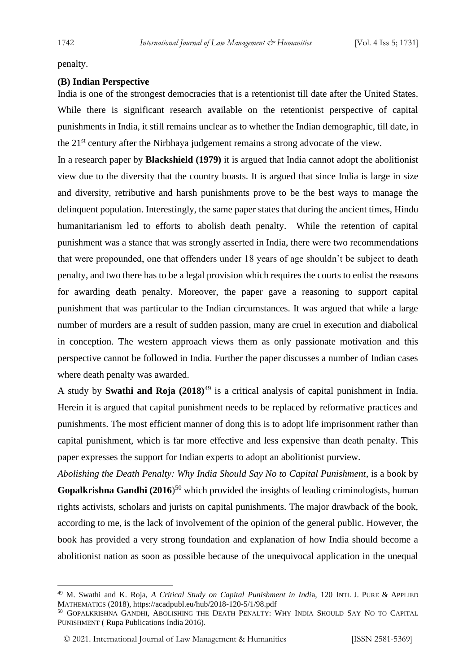penalty.

#### **(B) Indian Perspective**

India is one of the strongest democracies that is a retentionist till date after the United States. While there is significant research available on the retentionist perspective of capital punishments in India, it still remains unclear as to whether the Indian demographic, till date, in the 21st century after the Nirbhaya judgement remains a strong advocate of the view.

In a research paper by **Blackshield (1979)** it is argued that India cannot adopt the abolitionist view due to the diversity that the country boasts. It is argued that since India is large in size and diversity, retributive and harsh punishments prove to be the best ways to manage the delinquent population. Interestingly, the same paper states that during the ancient times, Hindu humanitarianism led to efforts to abolish death penalty. While the retention of capital punishment was a stance that was strongly asserted in India, there were two recommendations that were propounded, one that offenders under 18 years of age shouldn't be subject to death penalty, and two there has to be a legal provision which requires the courts to enlist the reasons for awarding death penalty. Moreover, the paper gave a reasoning to support capital punishment that was particular to the Indian circumstances. It was argued that while a large number of murders are a result of sudden passion, many are cruel in execution and diabolical in conception. The western approach views them as only passionate motivation and this perspective cannot be followed in India. Further the paper discusses a number of Indian cases where death penalty was awarded.

A study by **Swathi and Roja (2018)**<sup>49</sup> is a critical analysis of capital punishment in India. Herein it is argued that capital punishment needs to be replaced by reformative practices and punishments. The most efficient manner of dong this is to adopt life imprisonment rather than capital punishment, which is far more effective and less expensive than death penalty. This paper expresses the support for Indian experts to adopt an abolitionist purview.

*Abolishing the Death Penalty: Why India Should Say No to Capital Punishment*, is a book by Gopalkrishna Gandhi (2016)<sup>50</sup> which provided the insights of leading criminologists, human rights activists, scholars and jurists on capital punishments. The major drawback of the book, according to me, is the lack of involvement of the opinion of the general public. However, the book has provided a very strong foundation and explanation of how India should become a abolitionist nation as soon as possible because of the unequivocal application in the unequal

<sup>49</sup> M. Swathi and K. Roja, *A Critical Study on Capital Punishment in Indi*a, 120 INTL J. PURE & APPLIED MATHEMATICS (2018), https://acadpubl.eu/hub/2018-120-5/1/98.pdf

<sup>50</sup> GOPALKRISHNA GANDHI, ABOLISHING THE DEATH PENALTY: WHY INDIA SHOULD SAY NO TO CAPITAL PUNISHMENT ( Rupa Publications India 2016).

<sup>© 2021.</sup> International Journal of [Law Management & Humanities](https://www.ijlmh.com/) [ISSN 2581-5369]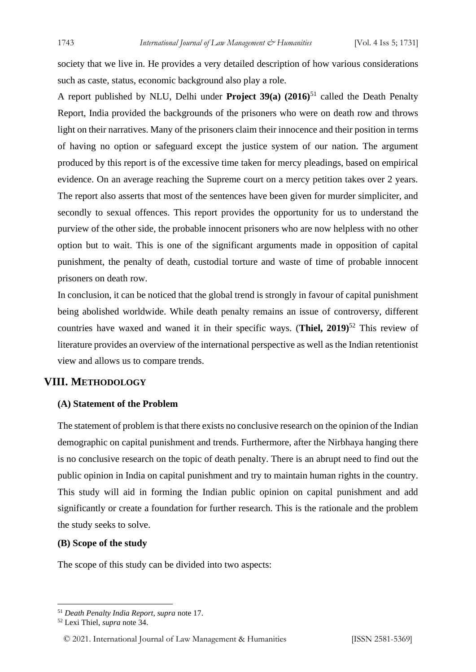society that we live in. He provides a very detailed description of how various considerations such as caste, status, economic background also play a role.

A report published by NLU, Delhi under **Project 39(a) (2016)**<sup>51</sup> called the Death Penalty Report, India provided the backgrounds of the prisoners who were on death row and throws light on their narratives. Many of the prisoners claim their innocence and their position in terms of having no option or safeguard except the justice system of our nation. The argument produced by this report is of the excessive time taken for mercy pleadings, based on empirical evidence. On an average reaching the Supreme court on a mercy petition takes over 2 years. The report also asserts that most of the sentences have been given for murder simpliciter, and secondly to sexual offences. This report provides the opportunity for us to understand the purview of the other side, the probable innocent prisoners who are now helpless with no other option but to wait. This is one of the significant arguments made in opposition of capital punishment, the penalty of death, custodial torture and waste of time of probable innocent prisoners on death row.

In conclusion, it can be noticed that the global trend is strongly in favour of capital punishment being abolished worldwide. While death penalty remains an issue of controversy, different countries have waxed and waned it in their specific ways. (**Thiel, 2019)**<sup>52</sup> This review of literature provides an overview of the international perspective as well as the Indian retentionist view and allows us to compare trends.

# **VIII. METHODOLOGY**

#### **(A) Statement of the Problem**

The statement of problem is that there exists no conclusive research on the opinion of the Indian demographic on capital punishment and trends. Furthermore, after the Nirbhaya hanging there is no conclusive research on the topic of death penalty. There is an abrupt need to find out the public opinion in India on capital punishment and try to maintain human rights in the country. This study will aid in forming the Indian public opinion on capital punishment and add significantly or create a foundation for further research. This is the rationale and the problem the study seeks to solve.

#### **(B) Scope of the study**

The scope of this study can be divided into two aspects:

© 2021. International Journal of [Law Management & Humanities](https://www.ijlmh.com/) [ISSN 2581-5369]

<sup>51</sup> *Death Penalty India Report, supra* note 17.

<sup>52</sup> Lexi Thiel, *supra* note 34.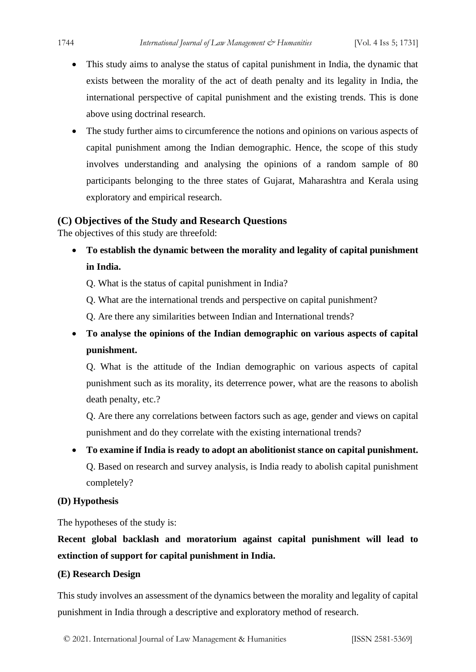- This study aims to analyse the status of capital punishment in India, the dynamic that exists between the morality of the act of death penalty and its legality in India, the international perspective of capital punishment and the existing trends. This is done above using doctrinal research.
- The study further aims to circumference the notions and opinions on various aspects of capital punishment among the Indian demographic. Hence, the scope of this study involves understanding and analysing the opinions of a random sample of 80 participants belonging to the three states of Gujarat, Maharashtra and Kerala using exploratory and empirical research.

### **(C) Objectives of the Study and Research Questions**

The objectives of this study are threefold:

- **To establish the dynamic between the morality and legality of capital punishment in India.**
	- Q. What is the status of capital punishment in India?
	- Q. What are the international trends and perspective on capital punishment?
	- Q. Are there any similarities between Indian and International trends?
- **To analyse the opinions of the Indian demographic on various aspects of capital punishment.**

Q. What is the attitude of the Indian demographic on various aspects of capital punishment such as its morality, its deterrence power, what are the reasons to abolish death penalty, etc.?

Q. Are there any correlations between factors such as age, gender and views on capital punishment and do they correlate with the existing international trends?

• **To examine if India is ready to adopt an abolitionist stance on capital punishment.**  Q. Based on research and survey analysis, is India ready to abolish capital punishment completely?

#### **(D) Hypothesis**

The hypotheses of the study is:

**Recent global backlash and moratorium against capital punishment will lead to extinction of support for capital punishment in India.**

#### **(E) Research Design**

This study involves an assessment of the dynamics between the morality and legality of capital punishment in India through a descriptive and exploratory method of research.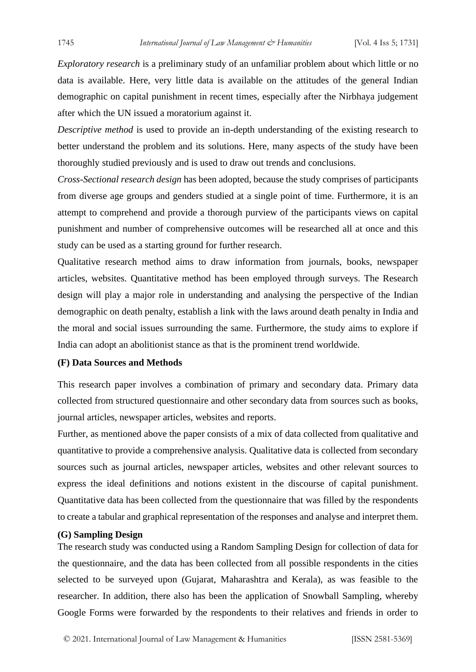*Exploratory research* is a preliminary study of an unfamiliar problem about which little or no data is available. Here, very little data is available on the attitudes of the general Indian demographic on capital punishment in recent times, especially after the Nirbhaya judgement after which the UN issued a moratorium against it.

*Descriptive method* is used to provide an in-depth understanding of the existing research to better understand the problem and its solutions. Here, many aspects of the study have been thoroughly studied previously and is used to draw out trends and conclusions.

*Cross-Sectional research design* has been adopted, because the study comprises of participants from diverse age groups and genders studied at a single point of time. Furthermore, it is an attempt to comprehend and provide a thorough purview of the participants views on capital punishment and number of comprehensive outcomes will be researched all at once and this study can be used as a starting ground for further research.

Qualitative research method aims to draw information from journals, books, newspaper articles, websites. Quantitative method has been employed through surveys. The Research design will play a major role in understanding and analysing the perspective of the Indian demographic on death penalty, establish a link with the laws around death penalty in India and the moral and social issues surrounding the same. Furthermore, the study aims to explore if India can adopt an abolitionist stance as that is the prominent trend worldwide.

#### **(F) Data Sources and Methods**

This research paper involves a combination of primary and secondary data. Primary data collected from structured questionnaire and other secondary data from sources such as books, journal articles, newspaper articles, websites and reports.

Further, as mentioned above the paper consists of a mix of data collected from qualitative and quantitative to provide a comprehensive analysis. Qualitative data is collected from secondary sources such as journal articles, newspaper articles, websites and other relevant sources to express the ideal definitions and notions existent in the discourse of capital punishment. Quantitative data has been collected from the questionnaire that was filled by the respondents to create a tabular and graphical representation of the responses and analyse and interpret them.

#### **(G) Sampling Design**

The research study was conducted using a Random Sampling Design for collection of data for the questionnaire, and the data has been collected from all possible respondents in the cities selected to be surveyed upon (Gujarat, Maharashtra and Kerala), as was feasible to the researcher. In addition, there also has been the application of Snowball Sampling, whereby Google Forms were forwarded by the respondents to their relatives and friends in order to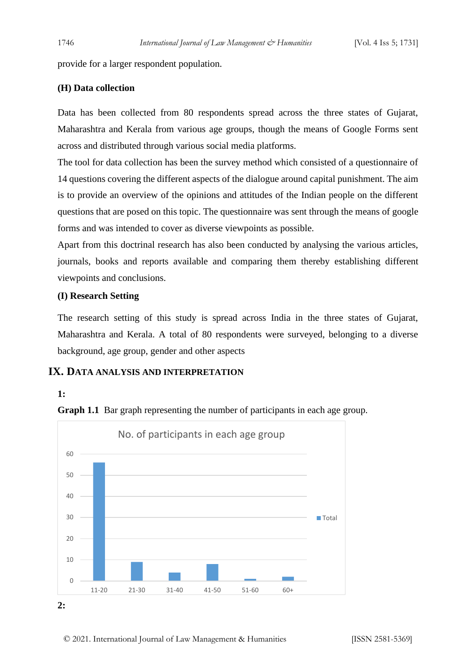provide for a larger respondent population.

#### **(H) Data collection**

Data has been collected from 80 respondents spread across the three states of Gujarat, Maharashtra and Kerala from various age groups, though the means of Google Forms sent across and distributed through various social media platforms.

The tool for data collection has been the survey method which consisted of a questionnaire of 14 questions covering the different aspects of the dialogue around capital punishment. The aim is to provide an overview of the opinions and attitudes of the Indian people on the different questions that are posed on this topic. The questionnaire was sent through the means of google forms and was intended to cover as diverse viewpoints as possible.

Apart from this doctrinal research has also been conducted by analysing the various articles, journals, books and reports available and comparing them thereby establishing different viewpoints and conclusions.

#### **(I) Research Setting**

The research setting of this study is spread across India in the three states of Gujarat, Maharashtra and Kerala. A total of 80 respondents were surveyed, belonging to a diverse background, age group, gender and other aspects

### **IX. DATA ANALYSIS AND INTERPRETATION**

#### **1:**



**Graph 1.1** Bar graph representing the number of participants in each age group.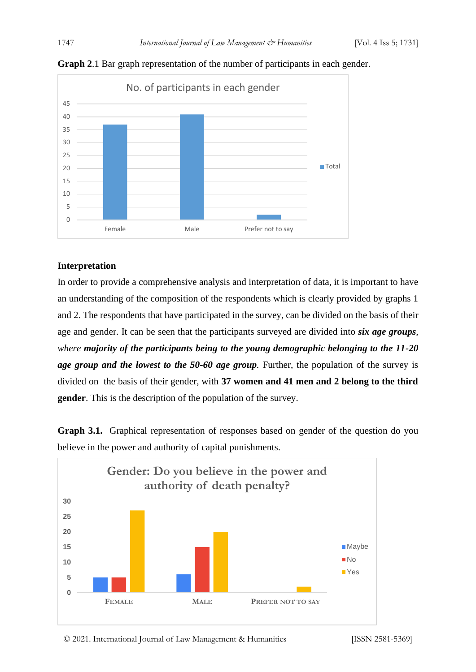

**Graph 2**.1 Bar graph representation of the number of participants in each gender.

#### **Interpretation**

In order to provide a comprehensive analysis and interpretation of data, it is important to have an understanding of the composition of the respondents which is clearly provided by graphs 1 and 2. The respondents that have participated in the survey, can be divided on the basis of their age and gender. It can be seen that the participants surveyed are divided into *six age groups, where majority of the participants being to the young demographic belonging to the 11-20 age group and the lowest to the 50-60 age group.* Further, the population of the survey is divided on the basis of their gender, with **37 women and 41 men and 2 belong to the third gender**. This is the description of the population of the survey.

**Graph 3.1.** Graphical representation of responses based on gender of the question do you believe in the power and authority of capital punishments.

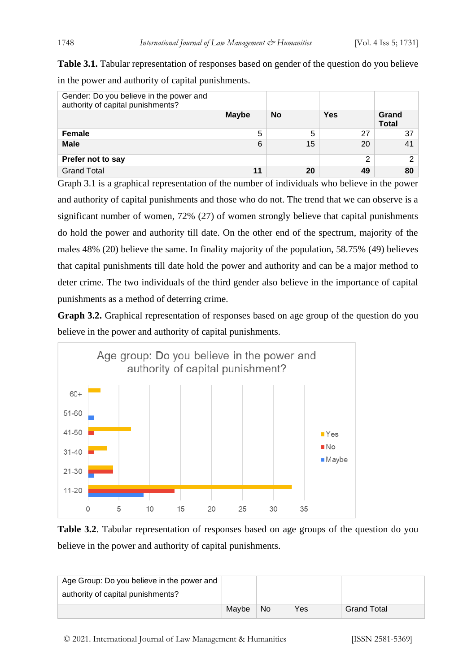**Table 3.1.** Tabular representation of responses based on gender of the question do you believe in the power and authority of capital punishments.

| Gender: Do you believe in the power and<br>authority of capital punishments? |              |           |     |                       |
|------------------------------------------------------------------------------|--------------|-----------|-----|-----------------------|
|                                                                              | <b>Maybe</b> | <b>No</b> | Yes | Grand<br><b>Total</b> |
| <b>Female</b>                                                                | 5            | 5         | 27  | 37                    |
| <b>Male</b>                                                                  | 6            | 15        | 20  | 41                    |
| Prefer not to say                                                            |              |           | 2   | ⌒                     |
| <b>Grand Total</b>                                                           | 11           | 20        | 49  | 80                    |

Graph 3.1 is a graphical representation of the number of individuals who believe in the power and authority of capital punishments and those who do not. The trend that we can observe is a significant number of women, 72% (27) of women strongly believe that capital punishments do hold the power and authority till date. On the other end of the spectrum, majority of the males 48% (20) believe the same. In finality majority of the population, 58.75% (49) believes that capital punishments till date hold the power and authority and can be a major method to deter crime. The two individuals of the third gender also believe in the importance of capital punishments as a method of deterring crime.

**Graph 3.2.** Graphical representation of responses based on age group of the question do you believe in the power and authority of capital punishments.



**Table 3.2**. Tabular representation of responses based on age groups of the question do you believe in the power and authority of capital punishments.

| Age Group: Do you believe in the power and |       |    |     |                    |
|--------------------------------------------|-------|----|-----|--------------------|
| authority of capital punishments?          |       |    |     |                    |
|                                            | Mavbe | No | Yes | <b>Grand Total</b> |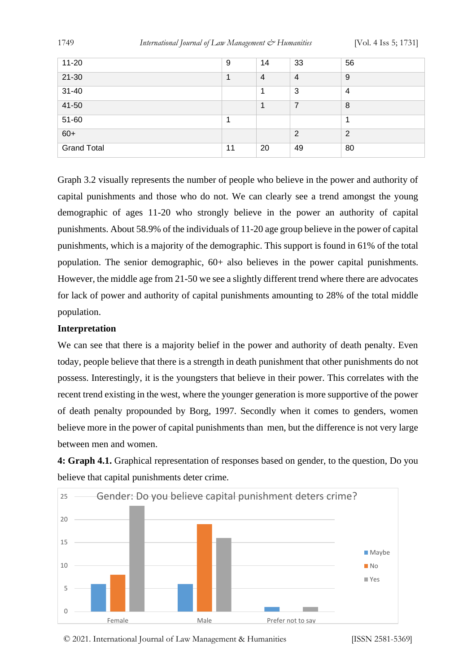| $11 - 20$          | 9  | 14             | 33             | 56             |
|--------------------|----|----------------|----------------|----------------|
| $21 - 30$          |    | $\overline{4}$ | $\overline{4}$ | 9              |
| $31 - 40$          |    |                | 3              | 4              |
| 41-50              |    | 1              | $\overline{7}$ | 8              |
| 51-60              |    |                |                |                |
| $60+$              |    |                | $\overline{2}$ | $\overline{2}$ |
| <b>Grand Total</b> | 11 | 20             | 49             | 80             |
|                    |    |                |                |                |

Graph 3.2 visually represents the number of people who believe in the power and authority of capital punishments and those who do not. We can clearly see a trend amongst the young demographic of ages 11-20 who strongly believe in the power an authority of capital punishments. About 58.9% of the individuals of 11-20 age group believe in the power of capital punishments, which is a majority of the demographic. This support is found in 61% of the total population. The senior demographic, 60+ also believes in the power capital punishments. However, the middle age from 21-50 we see a slightly different trend where there are advocates for lack of power and authority of capital punishments amounting to 28% of the total middle population.

#### **Interpretation**

We can see that there is a majority belief in the power and authority of death penalty. Even today, people believe that there is a strength in death punishment that other punishments do not possess. Interestingly, it is the youngsters that believe in their power. This correlates with the recent trend existing in the west, where the younger generation is more supportive of the power of death penalty propounded by Borg, 1997. Secondly when it comes to genders, women believe more in the power of capital punishments than men, but the difference is not very large between men and women.

**4: Graph 4.1.** Graphical representation of responses based on gender, to the question, Do you believe that capital punishments deter crime.



© 2021. International Journal of [Law Management & Humanities](https://www.ijlmh.com/) [ISSN 2581-5369]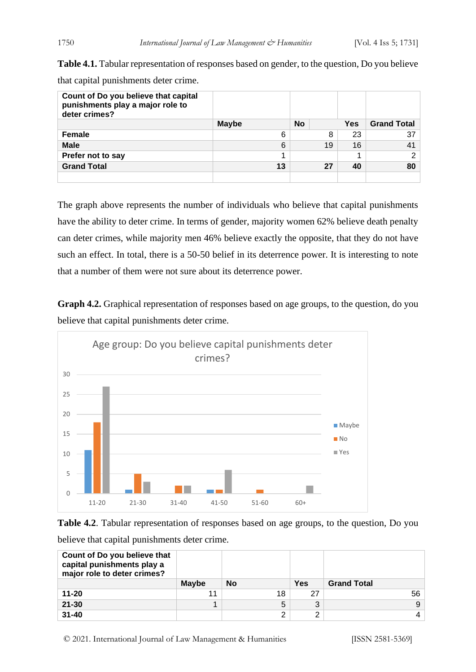**Table 4.1.** Tabular representation of responses based on gender, to the question, Do you believe that capital punishments deter crime.

| Count of Do you believe that capital<br>punishments play a major role to<br>deter crimes? |              |           |     |                    |
|-------------------------------------------------------------------------------------------|--------------|-----------|-----|--------------------|
|                                                                                           | <b>Maybe</b> | <b>No</b> | Yes | <b>Grand Total</b> |
| <b>Female</b>                                                                             | 6            | 8         | 23  | 37                 |
| <b>Male</b>                                                                               | 6            | 19        | 16  | 41                 |
| Prefer not to say                                                                         |              |           |     | 2 <sup>1</sup>     |
| <b>Grand Total</b>                                                                        | 13           | 27        | 40  | 80                 |
|                                                                                           |              |           |     |                    |

The graph above represents the number of individuals who believe that capital punishments have the ability to deter crime. In terms of gender, majority women 62% believe death penalty can deter crimes, while majority men 46% believe exactly the opposite, that they do not have such an effect. In total, there is a 50-50 belief in its deterrence power. It is interesting to note that a number of them were not sure about its deterrence power.

**Graph 4.2.** Graphical representation of responses based on age groups, to the question, do you believe that capital punishments deter crime.



**Table 4.2**. Tabular representation of responses based on age groups, to the question, Do you

| Count of Do you believe that<br>capital punishments play a<br>major role to deter crimes? |              |    |            |                    |
|-------------------------------------------------------------------------------------------|--------------|----|------------|--------------------|
|                                                                                           | <b>Maybe</b> | No | <b>Yes</b> | <b>Grand Total</b> |
| $11 - 20$                                                                                 |              | 18 | 27         | 56                 |
| $21 - 30$                                                                                 |              | 5  | 2          | 9                  |
| $31 - 40$                                                                                 |              | 2  | ◠          | 4                  |

believe that capital punishments deter crime.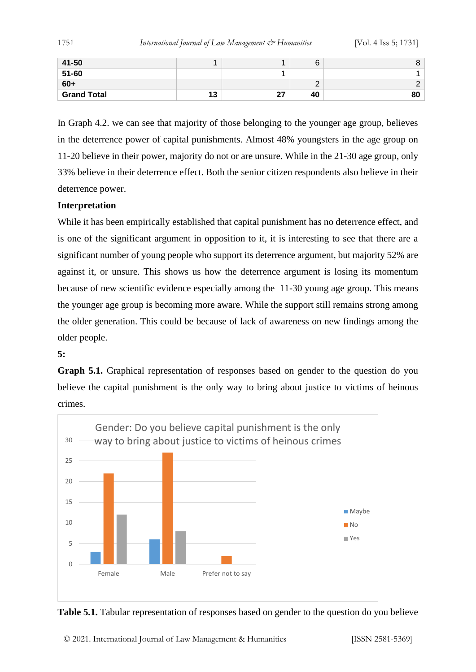| 41-50              |    |    |    | O  |
|--------------------|----|----|----|----|
| 51-60              |    |    |    |    |
| $60+$              |    |    |    | ⌒  |
| <b>Grand Total</b> | 13 | 27 | 40 | 80 |

In Graph 4.2. we can see that majority of those belonging to the younger age group, believes in the deterrence power of capital punishments. Almost 48% youngsters in the age group on 11-20 believe in their power, majority do not or are unsure. While in the 21-30 age group, only 33% believe in their deterrence effect. Both the senior citizen respondents also believe in their deterrence power.

#### **Interpretation**

While it has been empirically established that capital punishment has no deterrence effect, and is one of the significant argument in opposition to it, it is interesting to see that there are a significant number of young people who support its deterrence argument, but majority 52% are against it, or unsure. This shows us how the deterrence argument is losing its momentum because of new scientific evidence especially among the 11-30 young age group. This means the younger age group is becoming more aware. While the support still remains strong among the older generation. This could be because of lack of awareness on new findings among the older people.

#### **5:**

**Graph 5.1.** Graphical representation of responses based on gender to the question do you believe the capital punishment is the only way to bring about justice to victims of heinous crimes.



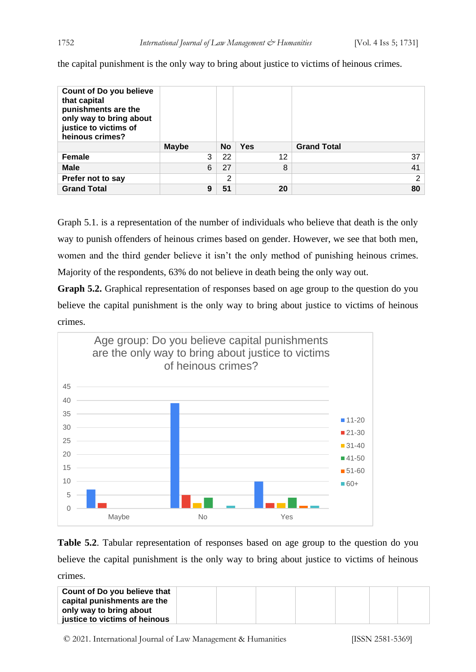| <b>Count of Do you believe</b><br>that capital<br>punishments are the<br>only way to bring about<br>justice to victims of<br>heinous crimes? |              |           |            |                    |
|----------------------------------------------------------------------------------------------------------------------------------------------|--------------|-----------|------------|--------------------|
|                                                                                                                                              | <b>Maybe</b> | <b>No</b> | <b>Yes</b> | <b>Grand Total</b> |
| Female                                                                                                                                       | 3            | 22        | 12         | 37                 |
| <b>Male</b>                                                                                                                                  | 6            | 27        | 8          | 41                 |
| Prefer not to say                                                                                                                            |              | 2         |            | 2                  |
| <b>Grand Total</b>                                                                                                                           | 9            | 51        | 20         | 80                 |

the capital punishment is the only way to bring about justice to victims of heinous crimes.

Graph 5.1. is a representation of the number of individuals who believe that death is the only way to punish offenders of heinous crimes based on gender. However, we see that both men, women and the third gender believe it isn't the only method of punishing heinous crimes. Majority of the respondents, 63% do not believe in death being the only way out.

**Graph 5.2.** Graphical representation of responses based on age group to the question do you believe the capital punishment is the only way to bring about justice to victims of heinous crimes.



**Table 5.2**. Tabular representation of responses based on age group to the question do you believe the capital punishment is the only way to bring about justice to victims of heinous crimes.

| Count of Do you believe that  |  |  |
|-------------------------------|--|--|
| capital punishments are the   |  |  |
| only way to bring about       |  |  |
| justice to victims of heinous |  |  |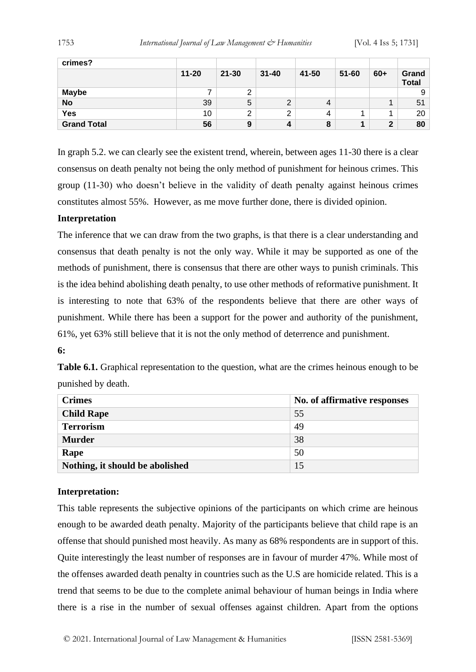| crimes?            |           |           |           |       |           |       |                       |
|--------------------|-----------|-----------|-----------|-------|-----------|-------|-----------------------|
|                    | $11 - 20$ | $21 - 30$ | $31 - 40$ | 41-50 | $51 - 60$ | $60+$ | Grand<br><b>Total</b> |
| <b>Maybe</b>       | ⇁         | っ<br>∠    |           |       |           |       | 9                     |
| <b>No</b>          | 39        | 5         | ◠<br>∠    | 4     |           |       | 51                    |
| <b>Yes</b>         | 10        | 2         | ົ<br>∠    | 4     |           |       | 20                    |
| <b>Grand Total</b> | 56        | 9         | 4         | 8     |           | 2     | 80                    |

In graph 5.2. we can clearly see the existent trend, wherein, between ages 11-30 there is a clear consensus on death penalty not being the only method of punishment for heinous crimes. This group (11-30) who doesn't believe in the validity of death penalty against heinous crimes constitutes almost 55%. However, as me move further done, there is divided opinion.

#### **Interpretation**

The inference that we can draw from the two graphs, is that there is a clear understanding and consensus that death penalty is not the only way. While it may be supported as one of the methods of punishment, there is consensus that there are other ways to punish criminals. This is the idea behind abolishing death penalty, to use other methods of reformative punishment. It is interesting to note that 63% of the respondents believe that there are other ways of punishment. While there has been a support for the power and authority of the punishment, 61%, yet 63% still believe that it is not the only method of deterrence and punishment.

#### **6:**

**Table 6.1.** Graphical representation to the question, what are the crimes heinous enough to be punished by death.

| <b>Crimes</b>                   | No. of affirmative responses |
|---------------------------------|------------------------------|
| <b>Child Rape</b>               | 55                           |
| <b>Terrorism</b>                | 49                           |
| <b>Murder</b>                   | 38                           |
| Rape                            | 50                           |
| Nothing, it should be abolished | 15                           |

#### **Interpretation:**

This table represents the subjective opinions of the participants on which crime are heinous enough to be awarded death penalty. Majority of the participants believe that child rape is an offense that should punished most heavily. As many as 68% respondents are in support of this. Quite interestingly the least number of responses are in favour of murder 47%. While most of the offenses awarded death penalty in countries such as the U.S are homicide related. This is a trend that seems to be due to the complete animal behaviour of human beings in India where there is a rise in the number of sexual offenses against children. Apart from the options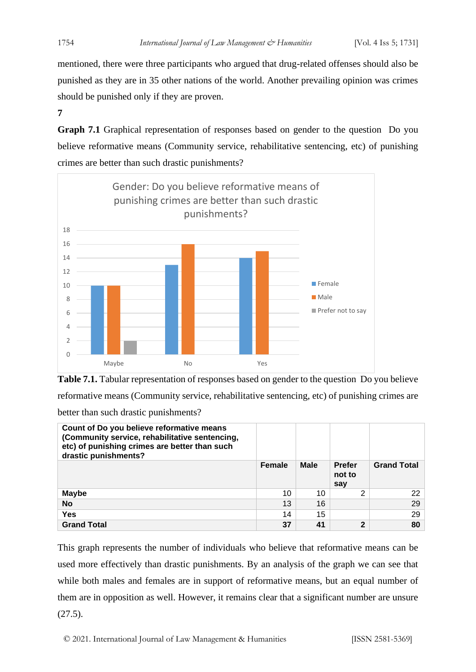mentioned, there were three participants who argued that drug-related offenses should also be punished as they are in 35 other nations of the world. Another prevailing opinion was crimes should be punished only if they are proven.

**7**

**Graph 7.1** Graphical representation of responses based on gender to the question Do you believe reformative means (Community service, rehabilitative sentencing, etc) of punishing crimes are better than such drastic punishments?





| Count of Do you believe reformative means<br>(Community service, rehabilitative sentencing,<br>etc) of punishing crimes are better than such<br>drastic punishments? |               |             |                                |                    |
|----------------------------------------------------------------------------------------------------------------------------------------------------------------------|---------------|-------------|--------------------------------|--------------------|
|                                                                                                                                                                      | <b>Female</b> | <b>Male</b> | <b>Prefer</b><br>not to<br>say | <b>Grand Total</b> |
| <b>Maybe</b>                                                                                                                                                         | 10            | 10          | 2                              | 22                 |
| No                                                                                                                                                                   | 13            | 16          |                                | 29                 |
| <b>Yes</b>                                                                                                                                                           | 14            | 15          |                                | 29                 |
| <b>Grand Total</b>                                                                                                                                                   | 37            | 41          | 2                              | 80                 |

This graph represents the number of individuals who believe that reformative means can be used more effectively than drastic punishments. By an analysis of the graph we can see that while both males and females are in support of reformative means, but an equal number of them are in opposition as well. However, it remains clear that a significant number are unsure  $(27.5).$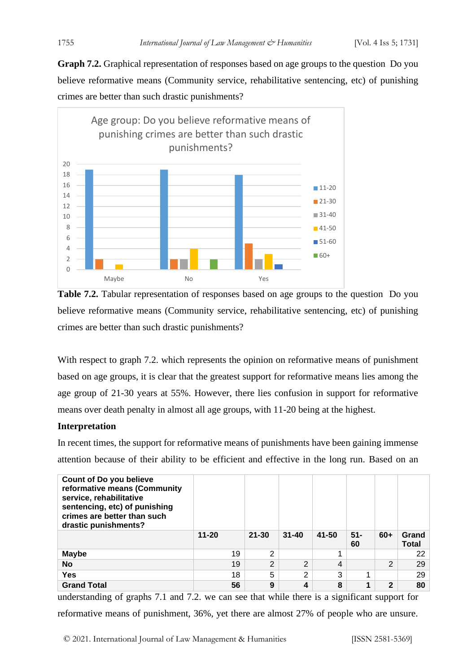**Graph 7.2.** Graphical representation of responses based on age groups to the question Do you believe reformative means (Community service, rehabilitative sentencing, etc) of punishing crimes are better than such drastic punishments?



**Table 7.2.** Tabular representation of responses based on age groups to the question Do you believe reformative means (Community service, rehabilitative sentencing, etc) of punishing crimes are better than such drastic punishments?

With respect to graph 7.2, which represents the opinion on reformative means of punishment based on age groups, it is clear that the greatest support for reformative means lies among the age group of 21-30 years at 55%. However, there lies confusion in support for reformative means over death penalty in almost all age groups, with 11-20 being at the highest.

#### **Interpretation**

In recent times, the support for reformative means of punishments have been gaining immense attention because of their ability to be efficient and effective in the long run. Based on an

| <b>Count of Do you believe</b><br>reformative means (Community<br>service, rehabilitative<br>sentencing, etc) of punishing<br>crimes are better than such<br>drastic punishments? |           |               |                |       |              |       |                       |
|-----------------------------------------------------------------------------------------------------------------------------------------------------------------------------------|-----------|---------------|----------------|-------|--------------|-------|-----------------------|
|                                                                                                                                                                                   | $11 - 20$ | $21 - 30$     | $31 - 40$      | 41-50 | $51 -$<br>60 | $60+$ | Grand<br><b>Total</b> |
| <b>Maybe</b>                                                                                                                                                                      | 19        | 2             |                | 4     |              |       | 22                    |
| <b>No</b>                                                                                                                                                                         | 19        | $\mathcal{D}$ | $\overline{2}$ | 4     |              | C     | 29                    |
| Yes                                                                                                                                                                               | 18        | 5             | 2              | 3     |              |       | 29                    |
| <b>Grand Total</b>                                                                                                                                                                | 56        | 9             | 4              | 8     |              | 2     | 80                    |

understanding of graphs 7.1 and 7.2. we can see that while there is a significant support for reformative means of punishment, 36%, yet there are almost 27% of people who are unsure.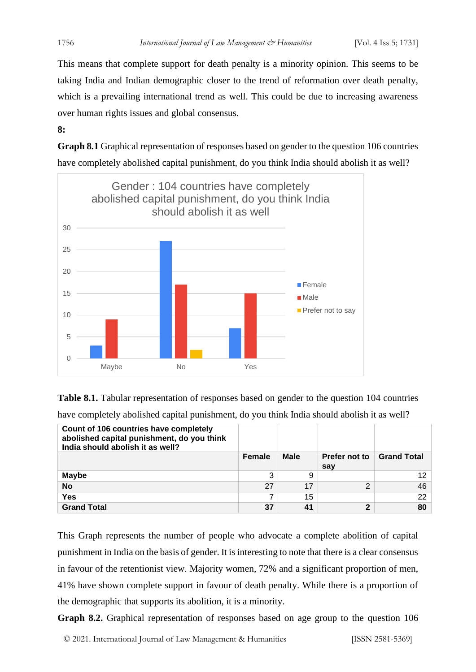This means that complete support for death penalty is a minority opinion. This seems to be taking India and Indian demographic closer to the trend of reformation over death penalty, which is a prevailing international trend as well. This could be due to increasing awareness over human rights issues and global consensus.

**8:**

**Graph 8.1** Graphical representation of responses based on gender to the question 106 countries have completely abolished capital punishment, do you think India should abolish it as well?



**Table 8.1.** Tabular representation of responses based on gender to the question 104 countries

| have completely abolished capital punishment, do you think India should abolish it as well? |  |  |  |  |
|---------------------------------------------------------------------------------------------|--|--|--|--|
|---------------------------------------------------------------------------------------------|--|--|--|--|

| Count of 106 countries have completely<br>abolished capital punishment, do you think<br>India should abolish it as well? |               |             |                      |                    |
|--------------------------------------------------------------------------------------------------------------------------|---------------|-------------|----------------------|--------------------|
|                                                                                                                          | <b>Female</b> | <b>Male</b> | Prefer not to<br>sav | <b>Grand Total</b> |
| <b>Maybe</b>                                                                                                             | 3             | 9           |                      | 12 <sup>1</sup>    |
| <b>No</b>                                                                                                                | 27            | 17          | 2                    | 46                 |
| Yes                                                                                                                      |               | 15          |                      | 22                 |
| <b>Grand Total</b>                                                                                                       | 37            | 41          | 2                    | 80                 |

This Graph represents the number of people who advocate a complete abolition of capital punishment in India on the basis of gender. It is interesting to note that there is a clear consensus in favour of the retentionist view. Majority women, 72% and a significant proportion of men, 41% have shown complete support in favour of death penalty. While there is a proportion of the demographic that supports its abolition, it is a minority.

**Graph 8.2.** Graphical representation of responses based on age group to the question 106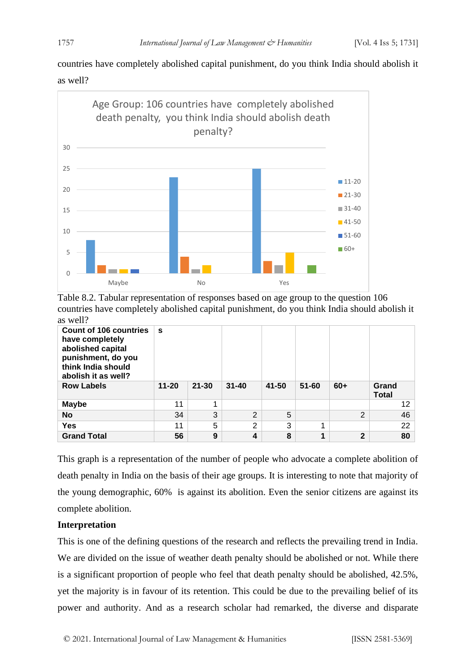countries have completely abolished capital punishment, do you think India should abolish it as well?



Table 8.2. Tabular representation of responses based on age group to the question 106 countries have completely abolished capital punishment, do you think India should abolish it as well?

| <b>Count of 106 countries</b><br>have completely<br>abolished capital<br>punishment, do you<br>think India should<br>abolish it as well? | S         |           |                |       |           |              |                       |
|------------------------------------------------------------------------------------------------------------------------------------------|-----------|-----------|----------------|-------|-----------|--------------|-----------------------|
| <b>Row Labels</b>                                                                                                                        | $11 - 20$ | $21 - 30$ | $31 - 40$      | 41-50 | $51 - 60$ | $60+$        | Grand<br><b>Total</b> |
| <b>Maybe</b>                                                                                                                             | 11        | 1         |                |       |           |              | 12                    |
| <b>No</b>                                                                                                                                | 34        | 3         | $\overline{2}$ | 5     |           | 2            | 46                    |
| <b>Yes</b>                                                                                                                               | 11        | 5         | $\overline{2}$ | 3     |           |              | 22                    |
| <b>Grand Total</b>                                                                                                                       | 56        | 9         | 4              | 8     | 1         | $\mathbf{2}$ | 80                    |

This graph is a representation of the number of people who advocate a complete abolition of death penalty in India on the basis of their age groups. It is interesting to note that majority of the young demographic, 60% is against its abolition. Even the senior citizens are against its complete abolition.

# **Interpretation**

This is one of the defining questions of the research and reflects the prevailing trend in India. We are divided on the issue of weather death penalty should be abolished or not. While there is a significant proportion of people who feel that death penalty should be abolished, 42.5%, yet the majority is in favour of its retention. This could be due to the prevailing belief of its power and authority. And as a research scholar had remarked, the diverse and disparate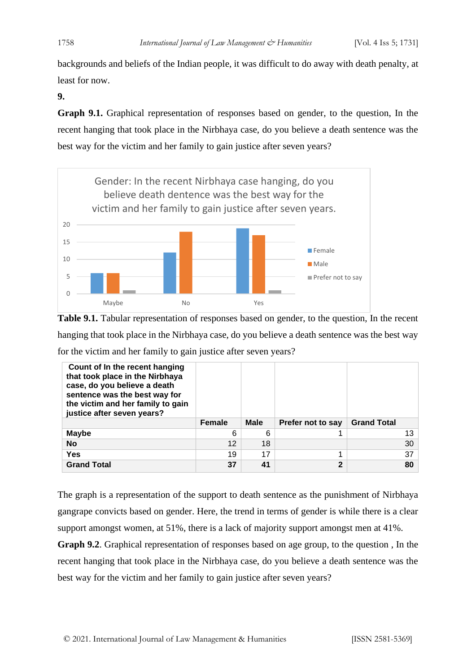backgrounds and beliefs of the Indian people, it was difficult to do away with death penalty, at least for now.

**9.**

**Graph 9.1.** Graphical representation of responses based on gender, to the question, In the recent hanging that took place in the Nirbhaya case, do you believe a death sentence was the best way for the victim and her family to gain justice after seven years?



**Table 9.1.** Tabular representation of responses based on gender, to the question, In the recent hanging that took place in the Nirbhaya case, do you believe a death sentence was the best way for the victim and her family to gain justice after seven years?

| Count of In the recent hanging<br>that took place in the Nirbhaya<br>case, do you believe a death<br>sentence was the best way for<br>the victim and her family to gain<br>justice after seven years? |               |             |                   |                    |
|-------------------------------------------------------------------------------------------------------------------------------------------------------------------------------------------------------|---------------|-------------|-------------------|--------------------|
|                                                                                                                                                                                                       |               |             |                   |                    |
|                                                                                                                                                                                                       | <b>Female</b> | <b>Male</b> | Prefer not to say | <b>Grand Total</b> |
| <b>Maybe</b>                                                                                                                                                                                          | 6             | 6           |                   | 13                 |
| <b>No</b>                                                                                                                                                                                             | 12            | 18          |                   | 30                 |
| Yes                                                                                                                                                                                                   | 19            | 17          |                   | 37                 |

The graph is a representation of the support to death sentence as the punishment of Nirbhaya gangrape convicts based on gender. Here, the trend in terms of gender is while there is a clear support amongst women, at 51%, there is a lack of majority support amongst men at 41%.

**Graph 9.2**. Graphical representation of responses based on age group, to the question , In the recent hanging that took place in the Nirbhaya case, do you believe a death sentence was the best way for the victim and her family to gain justice after seven years?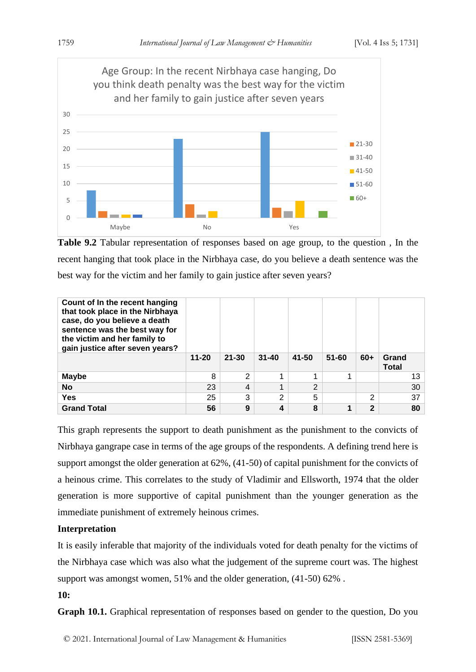

**Table 9.2** Tabular representation of responses based on age group, to the question , In the recent hanging that took place in the Nirbhaya case, do you believe a death sentence was the best way for the victim and her family to gain justice after seven years?

| Count of In the recent hanging<br>that took place in the Nirbhaya<br>case, do you believe a death<br>sentence was the best way for<br>the victim and her family to<br>gain justice after seven years? | $11 - 20$ | $21 - 30$ | $31 - 40$ | 41-50 | $51 - 60$ | $60+$        | Grand<br><b>Total</b> |
|-------------------------------------------------------------------------------------------------------------------------------------------------------------------------------------------------------|-----------|-----------|-----------|-------|-----------|--------------|-----------------------|
| <b>Maybe</b>                                                                                                                                                                                          | 8         | 2         |           |       |           |              | 13                    |
|                                                                                                                                                                                                       |           |           |           |       |           |              |                       |
| <b>No</b>                                                                                                                                                                                             | 23        | 4         |           | 2     |           |              | 30                    |
| Yes                                                                                                                                                                                                   | 25        | 3         | 2         | 5     |           | 2            | 37                    |
| <b>Grand Total</b>                                                                                                                                                                                    | 56        | 9         | 4         | 8     |           | $\mathbf{2}$ | 80                    |

This graph represents the support to death punishment as the punishment to the convicts of Nirbhaya gangrape case in terms of the age groups of the respondents. A defining trend here is support amongst the older generation at 62%, (41-50) of capital punishment for the convicts of a heinous crime. This correlates to the study of Vladimir and Ellsworth, 1974 that the older generation is more supportive of capital punishment than the younger generation as the immediate punishment of extremely heinous crimes.

# **Interpretation**

It is easily inferable that majority of the individuals voted for death penalty for the victims of the Nirbhaya case which was also what the judgement of the supreme court was. The highest support was amongst women, 51% and the older generation, (41-50) 62% .

#### **10:**

**Graph 10.1.** Graphical representation of responses based on gender to the question, Do you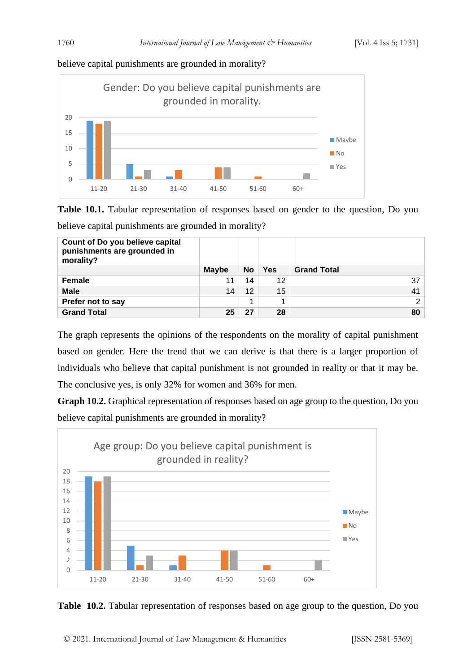## believe capital punishments are grounded in morality?



**Table 10.1.** Tabular representation of responses based on gender to the question, Do you

believe capital punishments are grounded in morality?

| Count of Do you believe capital<br>punishments are grounded in<br>morality? |              |           |            |                    |
|-----------------------------------------------------------------------------|--------------|-----------|------------|--------------------|
|                                                                             | <b>Maybe</b> | <b>No</b> | <b>Yes</b> | <b>Grand Total</b> |
| <b>Female</b>                                                               |              | 14        | 12         | 37                 |
| <b>Male</b>                                                                 | 14           | 12        | 15         | 41                 |
| Prefer not to say                                                           |              |           | 4          | $\overline{2}$     |
| <b>Grand Total</b>                                                          | 25           | 27        | 28         | 80                 |

The graph represents the opinions of the respondents on the morality of capital punishment based on gender. Here the trend that we can derive is that there is a larger proportion of individuals who believe that capital punishment is not grounded in reality or that it may be. The conclusive yes, is only 32% for women and 36% for men.

**Graph 10.2.** Graphical representation of responses based on age group to the question, Do you believe capital punishments are grounded in morality?



**Table 10.2.** Tabular representation of responses based on age group to the question, Do you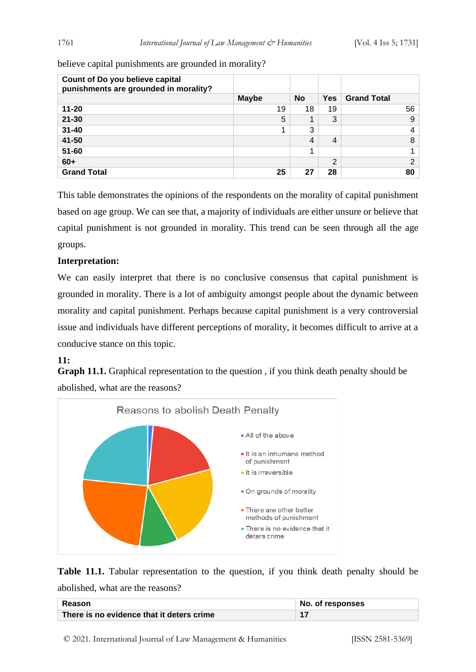believe capital punishments are grounded in morality?

| Count of Do you believe capital<br>punishments are grounded in morality? |              |           |                |                    |
|--------------------------------------------------------------------------|--------------|-----------|----------------|--------------------|
|                                                                          | <b>Maybe</b> | <b>No</b> | <b>Yes</b>     | <b>Grand Total</b> |
| $11 - 20$                                                                | 19           | 18        | 19             | 56                 |
| $21 - 30$                                                                | 5            |           | 3              | 9                  |
| $31 - 40$                                                                |              | 3         |                | 4                  |
| 41-50                                                                    |              | 4         | $\overline{4}$ | 8                  |
| $51 - 60$                                                                |              |           |                |                    |
| $60+$                                                                    |              |           | ⌒              | $\mathfrak{p}$     |
| <b>Grand Total</b>                                                       | 25           | 27        | 28             | 80                 |

This table demonstrates the opinions of the respondents on the morality of capital punishment based on age group. We can see that, a majority of individuals are either unsure or believe that capital punishment is not grounded in morality. This trend can be seen through all the age groups.

#### **Interpretation:**

We can easily interpret that there is no conclusive consensus that capital punishment is grounded in morality. There is a lot of ambiguity amongst people about the dynamic between morality and capital punishment. Perhaps because capital punishment is a very controversial issue and individuals have different perceptions of morality, it becomes difficult to arrive at a conducive stance on this topic.

#### **11:**

**Graph 11.1.** Graphical representation to the question , if you think death penalty should be abolished, what are the reasons?



**Table 11.1.** Tabular representation to the question, if you think death penalty should be abolished, what are the reasons?

| Reason                                    | No. of responses |
|-------------------------------------------|------------------|
| There is no evidence that it deters crime |                  |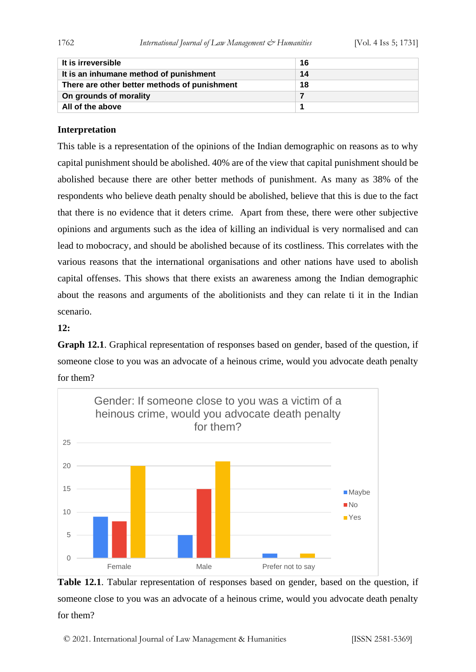| It is irreversible                           | -16 |
|----------------------------------------------|-----|
| It is an inhumane method of punishment       | 14  |
| There are other better methods of punishment | 18  |
| On grounds of morality                       |     |
| All of the above                             |     |

#### **Interpretation**

This table is a representation of the opinions of the Indian demographic on reasons as to why capital punishment should be abolished. 40% are of the view that capital punishment should be abolished because there are other better methods of punishment. As many as 38% of the respondents who believe death penalty should be abolished, believe that this is due to the fact that there is no evidence that it deters crime. Apart from these, there were other subjective opinions and arguments such as the idea of killing an individual is very normalised and can lead to mobocracy, and should be abolished because of its costliness. This correlates with the various reasons that the international organisations and other nations have used to abolish capital offenses. This shows that there exists an awareness among the Indian demographic about the reasons and arguments of the abolitionists and they can relate ti it in the Indian scenario.

#### **12:**

**Graph 12.1**. Graphical representation of responses based on gender, based of the question, if someone close to you was an advocate of a heinous crime, would you advocate death penalty for them?



**Table 12.1**. Tabular representation of responses based on gender, based on the question, if someone close to you was an advocate of a heinous crime, would you advocate death penalty for them?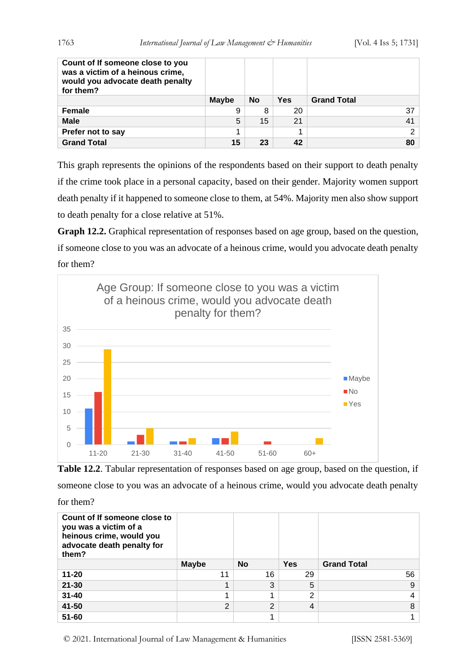| Count of If someone close to you<br>was a victim of a heinous crime,<br>would you advocate death penalty<br>for them? |              |    |            |                    |
|-----------------------------------------------------------------------------------------------------------------------|--------------|----|------------|--------------------|
|                                                                                                                       | <b>Maybe</b> | No | <b>Yes</b> | <b>Grand Total</b> |
| <b>Female</b>                                                                                                         | 9            | 8  | 20         | 37                 |
| <b>Male</b>                                                                                                           | 5            | 15 | 21         | 41                 |
| Prefer not to say                                                                                                     |              |    |            | ⌒                  |
| <b>Grand Total</b>                                                                                                    | 15           | 23 | 42         | 80                 |

This graph represents the opinions of the respondents based on their support to death penalty if the crime took place in a personal capacity, based on their gender. Majority women support death penalty if it happened to someone close to them, at 54%. Majority men also show support to death penalty for a close relative at 51%.

**Graph 12.2.** Graphical representation of responses based on age group, based on the question, if someone close to you was an advocate of a heinous crime, would you advocate death penalty for them?



**Table 12.2**. Tabular representation of responses based on age group, based on the question, if someone close to you was an advocate of a heinous crime, would you advocate death penalty for them?

| Count of If someone close to<br>you was a victim of a<br>heinous crime, would you<br>advocate death penalty for<br>them? |                |           |            |                    |
|--------------------------------------------------------------------------------------------------------------------------|----------------|-----------|------------|--------------------|
|                                                                                                                          | <b>Maybe</b>   | <b>No</b> | <b>Yes</b> | <b>Grand Total</b> |
| $11 - 20$                                                                                                                | 11             | 16        | 29         | 56                 |
| $21 - 30$                                                                                                                |                | 3         | 5          | 9                  |
| $31 - 40$                                                                                                                |                |           | 2          | 4                  |
| 41-50                                                                                                                    | $\overline{2}$ | 2         | 4          | 8                  |
| $51 - 60$                                                                                                                |                |           |            |                    |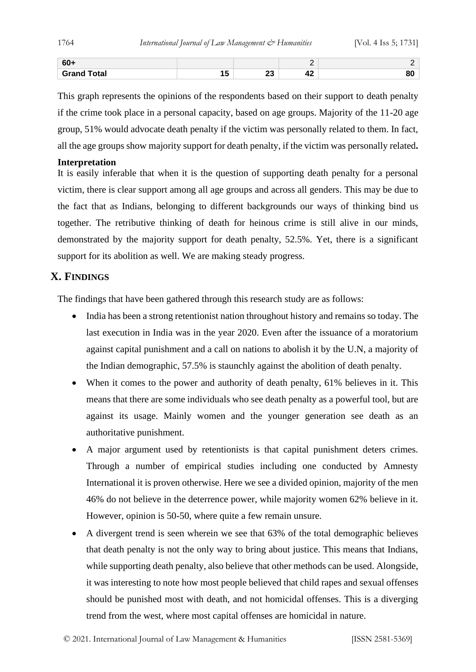| ່ ou .             |                |                             |  |
|--------------------|----------------|-----------------------------|--|
| <b>Grand Total</b> | n.<br>∠J<br>-- | $\ddot{\phantom{0}}$<br>-14 |  |

This graph represents the opinions of the respondents based on their support to death penalty if the crime took place in a personal capacity, based on age groups. Majority of the 11-20 age group, 51% would advocate death penalty if the victim was personally related to them. In fact, all the age groups show majority support for death penalty, if the victim was personally related**.** 

#### **Interpretation**

It is easily inferable that when it is the question of supporting death penalty for a personal victim, there is clear support among all age groups and across all genders. This may be due to the fact that as Indians, belonging to different backgrounds our ways of thinking bind us together. The retributive thinking of death for heinous crime is still alive in our minds, demonstrated by the majority support for death penalty, 52.5%. Yet, there is a significant support for its abolition as well. We are making steady progress.

# **X. FINDINGS**

The findings that have been gathered through this research study are as follows:

- India has been a strong retentionist nation throughout history and remains so today. The last execution in India was in the year 2020. Even after the issuance of a moratorium against capital punishment and a call on nations to abolish it by the U.N, a majority of the Indian demographic, 57.5% is staunchly against the abolition of death penalty.
- When it comes to the power and authority of death penalty, 61% believes in it. This means that there are some individuals who see death penalty as a powerful tool, but are against its usage. Mainly women and the younger generation see death as an authoritative punishment.
- A major argument used by retentionists is that capital punishment deters crimes. Through a number of empirical studies including one conducted by Amnesty International it is proven otherwise. Here we see a divided opinion, majority of the men 46% do not believe in the deterrence power, while majority women 62% believe in it. However, opinion is 50-50, where quite a few remain unsure.
- A divergent trend is seen wherein we see that 63% of the total demographic believes that death penalty is not the only way to bring about justice. This means that Indians, while supporting death penalty, also believe that other methods can be used. Alongside, it was interesting to note how most people believed that child rapes and sexual offenses should be punished most with death, and not homicidal offenses. This is a diverging trend from the west, where most capital offenses are homicidal in nature.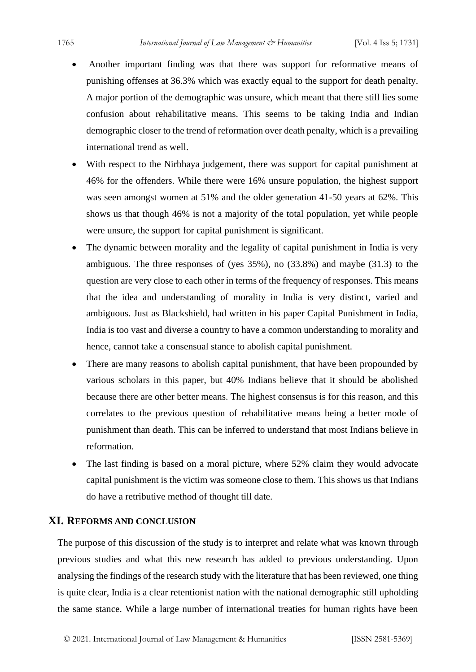- Another important finding was that there was support for reformative means of punishing offenses at 36.3% which was exactly equal to the support for death penalty. A major portion of the demographic was unsure, which meant that there still lies some confusion about rehabilitative means. This seems to be taking India and Indian demographic closer to the trend of reformation over death penalty, which is a prevailing international trend as well.
- With respect to the Nirbhaya judgement, there was support for capital punishment at 46% for the offenders. While there were 16% unsure population, the highest support was seen amongst women at 51% and the older generation 41-50 years at 62%. This shows us that though 46% is not a majority of the total population, yet while people were unsure, the support for capital punishment is significant.
- The dynamic between morality and the legality of capital punishment in India is very ambiguous. The three responses of (yes 35%), no (33.8%) and maybe (31.3) to the question are very close to each other in terms of the frequency of responses. This means that the idea and understanding of morality in India is very distinct, varied and ambiguous. Just as Blackshield, had written in his paper Capital Punishment in India, India is too vast and diverse a country to have a common understanding to morality and hence, cannot take a consensual stance to abolish capital punishment.
- There are many reasons to abolish capital punishment, that have been propounded by various scholars in this paper, but 40% Indians believe that it should be abolished because there are other better means. The highest consensus is for this reason, and this correlates to the previous question of rehabilitative means being a better mode of punishment than death. This can be inferred to understand that most Indians believe in reformation.
- The last finding is based on a moral picture, where 52% claim they would advocate capital punishment is the victim was someone close to them. This shows us that Indians do have a retributive method of thought till date.

#### **XI. REFORMS AND CONCLUSION**

The purpose of this discussion of the study is to interpret and relate what was known through previous studies and what this new research has added to previous understanding. Upon analysing the findings of the research study with the literature that has been reviewed, one thing is quite clear, India is a clear retentionist nation with the national demographic still upholding the same stance. While a large number of international treaties for human rights have been